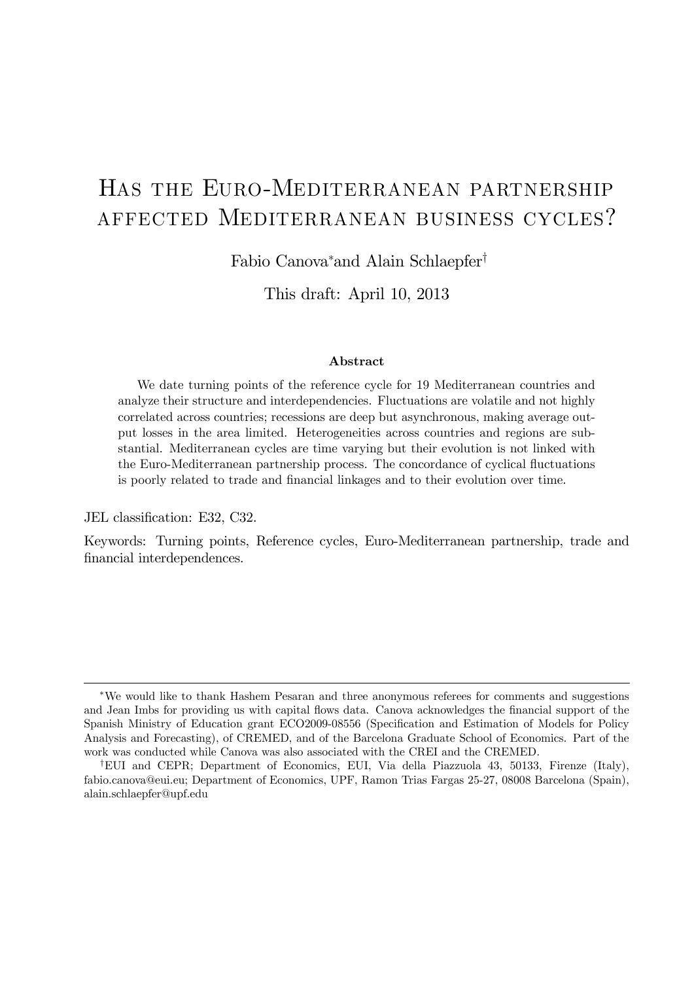# Has the Euro-Mediterranean partnership affected Mediterranean business cycles?

Fabio Canova<sup>∗</sup> and Alain Schlaepfer†

This draft: April 10, 2013

#### Abstract

We date turning points of the reference cycle for 19 Mediterranean countries and analyze their structure and interdependencies. Fluctuations are volatile and not highly correlated across countries; recessions are deep but asynchronous, making average output losses in the area limited. Heterogeneities across countries and regions are substantial. Mediterranean cycles are time varying but their evolution is not linked with the Euro-Mediterranean partnership process. The concordance of cyclical fluctuations is poorly related to trade and financial linkages and to their evolution over time.

JEL classification: E32, C32.

Keywords: Turning points, Reference cycles, Euro-Mediterranean partnership, trade and financial interdependences.

<sup>∗</sup>We would like to thank Hashem Pesaran and three anonymous referees for comments and suggestions and Jean Imbs for providing us with capital flows data. Canova acknowledges the financial support of the Spanish Ministry of Education grant ECO2009-08556 (Specification and Estimation of Models for Policy Analysis and Forecasting), of CREMED, and of the Barcelona Graduate School of Economics. Part of the work was conducted while Canova was also associated with the CREI and the CREMED.

<sup>†</sup>EUI and CEPR; Department of Economics, EUI, Via della Piazzuola 43, 50133, Firenze (Italy), fabio.canova@eui.eu; Department of Economics, UPF, Ramon Trias Fargas 25-27, 08008 Barcelona (Spain), alain.schlaepfer@upf.edu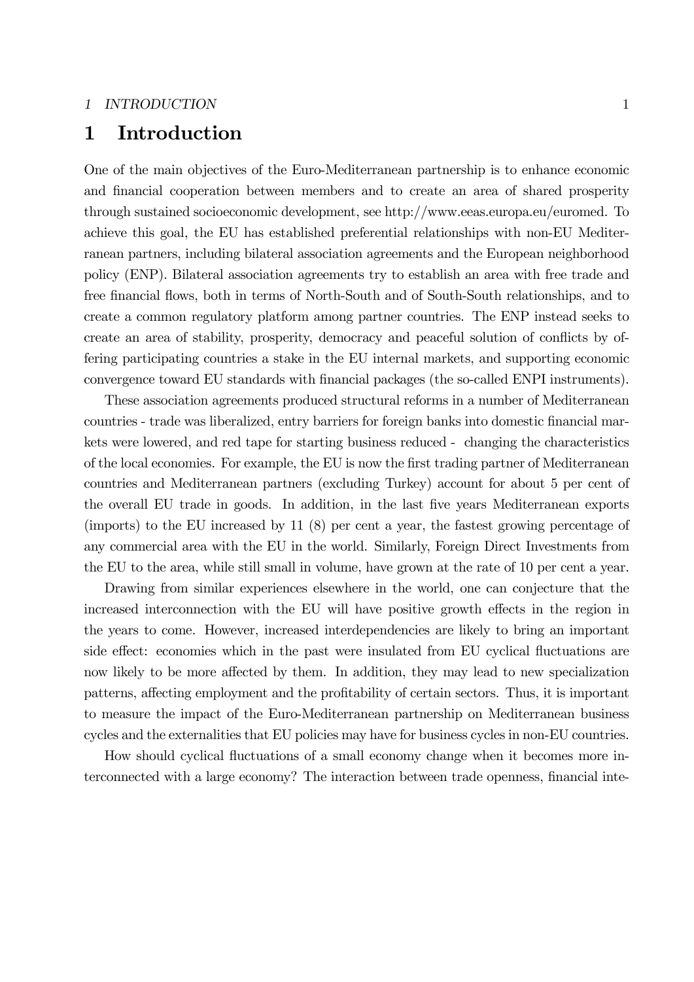## 1 Introduction

One of the main objectives of the Euro-Mediterranean partnership is to enhance economic and financial cooperation between members and to create an area of shared prosperity through sustained socioeconomic development, see http://www.eeas.europa.eu/euromed. To achieve this goal, the EU has established preferential relationships with non-EU Mediterranean partners, including bilateral association agreements and the European neighborhood policy (ENP). Bilateral association agreements try to establish an area with free trade and free financial flows, both in terms of North-South and of South-South relationships, and to create a common regulatory platform among partner countries. The ENP instead seeks to create an area of stability, prosperity, democracy and peaceful solution of conflicts by offering participating countries a stake in the EU internal markets, and supporting economic convergence toward EU standards with financial packages (the so-called ENPI instruments).

These association agreements produced structural reforms in a number of Mediterranean countries - trade was liberalized, entry barriers for foreign banks into domestic financial markets were lowered, and red tape for starting business reduced - changing the characteristics of the local economies. For example, the EU is now the first trading partner of Mediterranean countries and Mediterranean partners (excluding Turkey) account for about 5 per cent of the overall EU trade in goods. In addition, in the last five years Mediterranean exports (imports) to the EU increased by 11 (8) per cent a year, the fastest growing percentage of any commercial area with the EU in the world. Similarly, Foreign Direct Investments from the EU to the area, while still small in volume, have grown at the rate of 10 per cent a year.

Drawing from similar experiences elsewhere in the world, one can conjecture that the increased interconnection with the EU will have positive growth effects in the region in the years to come. However, increased interdependencies are likely to bring an important side effect: economies which in the past were insulated from EU cyclical fluctuations are now likely to be more affected by them. In addition, they may lead to new specialization patterns, affecting employment and the profitability of certain sectors. Thus, it is important to measure the impact of the Euro-Mediterranean partnership on Mediterranean business cycles and the externalities that EU policies may have for business cycles in non-EU countries.

How should cyclical fluctuations of a small economy change when it becomes more interconnected with a large economy? The interaction between trade openness, financial inte-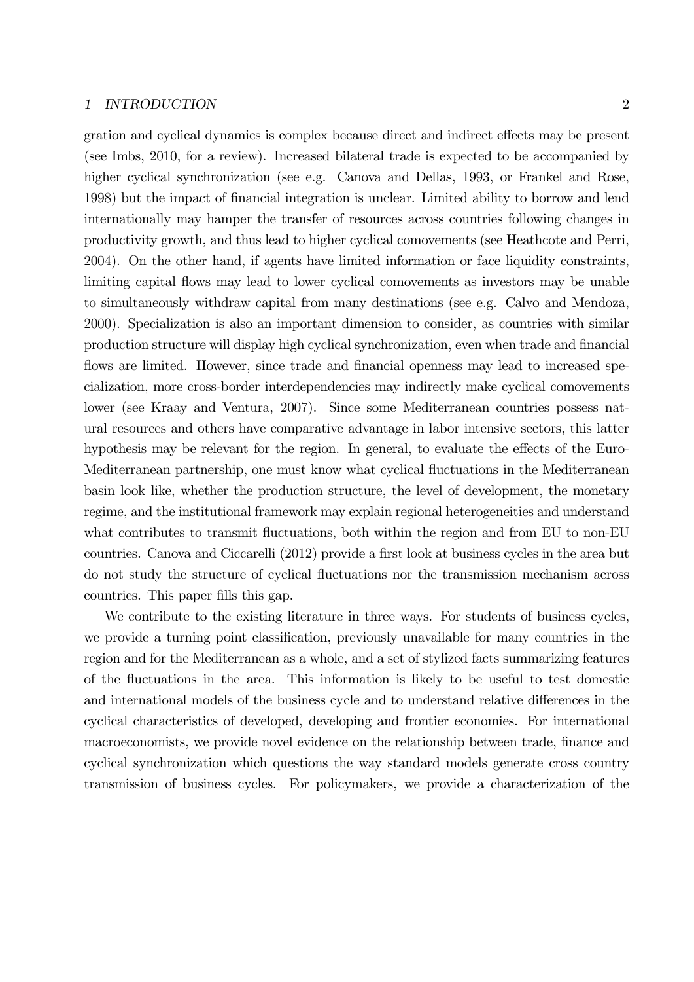### 1 INTRODUCTION 2

gration and cyclical dynamics is complex because direct and indirect effects may be present (see Imbs, 2010, for a review). Increased bilateral trade is expected to be accompanied by higher cyclical synchronization (see e.g. Canova and Dellas, 1993, or Frankel and Rose, 1998) but the impact of financial integration is unclear. Limited ability to borrow and lend internationally may hamper the transfer of resources across countries following changes in productivity growth, and thus lead to higher cyclical comovements (see Heathcote and Perri, 2004). On the other hand, if agents have limited information or face liquidity constraints, limiting capital flows may lead to lower cyclical comovements as investors may be unable to simultaneously withdraw capital from many destinations (see e.g. Calvo and Mendoza, 2000). Specialization is also an important dimension to consider, as countries with similar production structure will display high cyclical synchronization, even when trade and financial flows are limited. However, since trade and financial openness may lead to increased specialization, more cross-border interdependencies may indirectly make cyclical comovements lower (see Kraay and Ventura, 2007). Since some Mediterranean countries possess natural resources and others have comparative advantage in labor intensive sectors, this latter hypothesis may be relevant for the region. In general, to evaluate the effects of the Euro-Mediterranean partnership, one must know what cyclical fluctuations in the Mediterranean basin look like, whether the production structure, the level of development, the monetary regime, and the institutional framework may explain regional heterogeneities and understand what contributes to transmit fluctuations, both within the region and from EU to non-EU countries. Canova and Ciccarelli (2012) provide a first look at business cycles in the area but do not study the structure of cyclical fluctuations nor the transmission mechanism across countries. This paper fills this gap.

We contribute to the existing literature in three ways. For students of business cycles, we provide a turning point classification, previously unavailable for many countries in the region and for the Mediterranean as a whole, and a set of stylized facts summarizing features of the fluctuations in the area. This information is likely to be useful to test domestic and international models of the business cycle and to understand relative differences in the cyclical characteristics of developed, developing and frontier economies. For international macroeconomists, we provide novel evidence on the relationship between trade, finance and cyclical synchronization which questions the way standard models generate cross country transmission of business cycles. For policymakers, we provide a characterization of the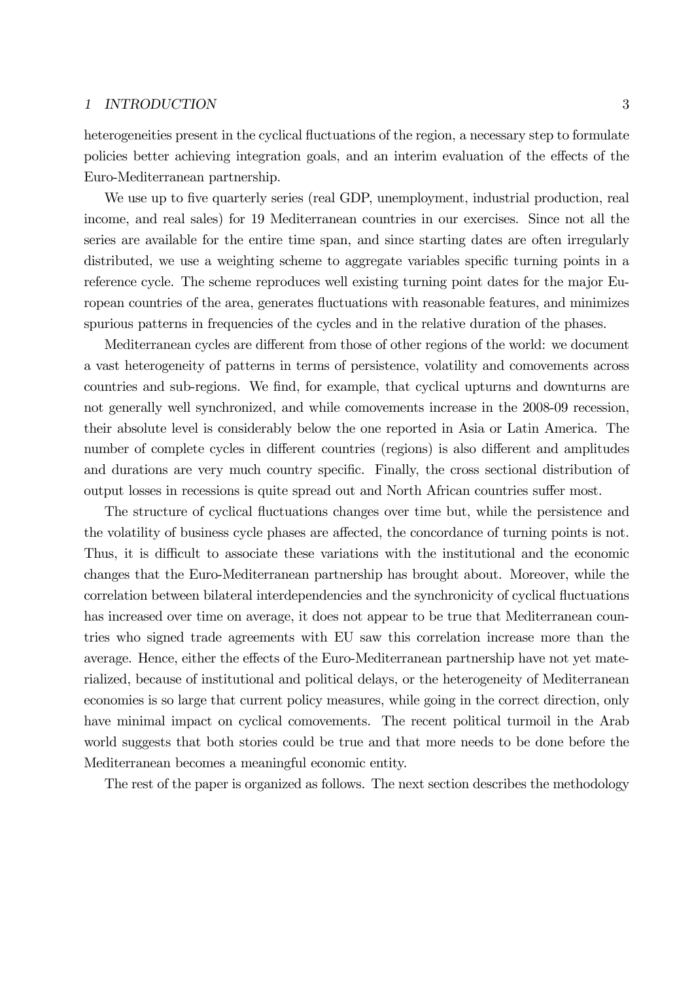### 1 INTRODUCTION 3

heterogeneities present in the cyclical fluctuations of the region, a necessary step to formulate policies better achieving integration goals, and an interim evaluation of the effects of the Euro-Mediterranean partnership.

We use up to five quarterly series (real GDP, unemployment, industrial production, real income, and real sales) for 19 Mediterranean countries in our exercises. Since not all the series are available for the entire time span, and since starting dates are often irregularly distributed, we use a weighting scheme to aggregate variables specific turning points in a reference cycle. The scheme reproduces well existing turning point dates for the major European countries of the area, generates fluctuations with reasonable features, and minimizes spurious patterns in frequencies of the cycles and in the relative duration of the phases.

Mediterranean cycles are different from those of other regions of the world: we document a vast heterogeneity of patterns in terms of persistence, volatility and comovements across countries and sub-regions. We find, for example, that cyclical upturns and downturns are not generally well synchronized, and while comovements increase in the 2008-09 recession, their absolute level is considerably below the one reported in Asia or Latin America. The number of complete cycles in different countries (regions) is also different and amplitudes and durations are very much country specific. Finally, the cross sectional distribution of output losses in recessions is quite spread out and North African countries suffer most.

The structure of cyclical fluctuations changes over time but, while the persistence and the volatility of business cycle phases are affected, the concordance of turning points is not. Thus, it is difficult to associate these variations with the institutional and the economic changes that the Euro-Mediterranean partnership has brought about. Moreover, while the correlation between bilateral interdependencies and the synchronicity of cyclical fluctuations has increased over time on average, it does not appear to be true that Mediterranean countries who signed trade agreements with EU saw this correlation increase more than the average. Hence, either the effects of the Euro-Mediterranean partnership have not yet materialized, because of institutional and political delays, or the heterogeneity of Mediterranean economies is so large that current policy measures, while going in the correct direction, only have minimal impact on cyclical comovements. The recent political turmoil in the Arab world suggests that both stories could be true and that more needs to be done before the Mediterranean becomes a meaningful economic entity.

The rest of the paper is organized as follows. The next section describes the methodology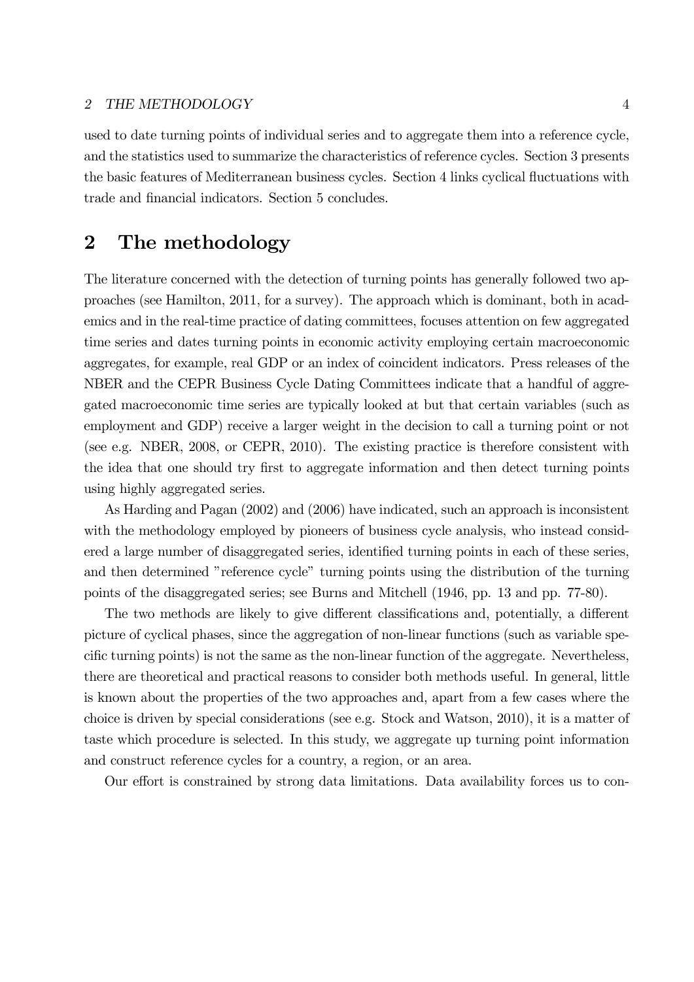used to date turning points of individual series and to aggregate them into a reference cycle, and the statistics used to summarize the characteristics of reference cycles. Section 3 presents the basic features of Mediterranean business cycles. Section 4 links cyclical fluctuations with trade and financial indicators. Section 5 concludes.

## 2 The methodology

The literature concerned with the detection of turning points has generally followed two approaches (see Hamilton, 2011, for a survey). The approach which is dominant, both in academics and in the real-time practice of dating committees, focuses attention on few aggregated time series and dates turning points in economic activity employing certain macroeconomic aggregates, for example, real GDP or an index of coincident indicators. Press releases of the NBER and the CEPR Business Cycle Dating Committees indicate that a handful of aggregated macroeconomic time series are typically looked at but that certain variables (such as employment and GDP) receive a larger weight in the decision to call a turning point or not (see e.g. NBER, 2008, or CEPR, 2010). The existing practice is therefore consistent with the idea that one should try first to aggregate information and then detect turning points using highly aggregated series.

As Harding and Pagan (2002) and (2006) have indicated, such an approach is inconsistent with the methodology employed by pioneers of business cycle analysis, who instead considered a large number of disaggregated series, identified turning points in each of these series, and then determined "reference cycle" turning points using the distribution of the turning points of the disaggregated series; see Burns and Mitchell (1946, pp. 13 and pp. 77-80).

The two methods are likely to give different classifications and, potentially, a different picture of cyclical phases, since the aggregation of non-linear functions (such as variable specific turning points) is not the same as the non-linear function of the aggregate. Nevertheless, there are theoretical and practical reasons to consider both methods useful. In general, little is known about the properties of the two approaches and, apart from a few cases where the choice is driven by special considerations (see e.g. Stock and Watson, 2010), it is a matter of taste which procedure is selected. In this study, we aggregate up turning point information and construct reference cycles for a country, a region, or an area.

Our effort is constrained by strong data limitations. Data availability forces us to con-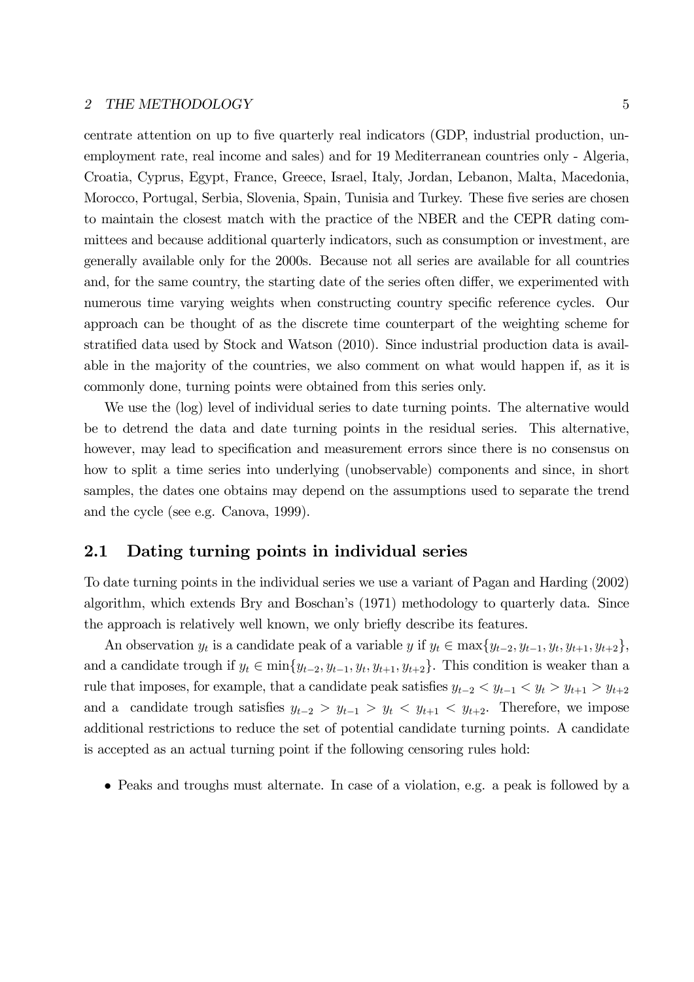centrate attention on up to five quarterly real indicators (GDP, industrial production, unemployment rate, real income and sales) and for 19 Mediterranean countries only - Algeria, Croatia, Cyprus, Egypt, France, Greece, Israel, Italy, Jordan, Lebanon, Malta, Macedonia, Morocco, Portugal, Serbia, Slovenia, Spain, Tunisia and Turkey. These five series are chosen to maintain the closest match with the practice of the NBER and the CEPR dating committees and because additional quarterly indicators, such as consumption or investment, are generally available only for the 2000s. Because not all series are available for all countries and, for the same country, the starting date of the series often differ, we experimented with numerous time varying weights when constructing country specific reference cycles. Our approach can be thought of as the discrete time counterpart of the weighting scheme for stratified data used by Stock and Watson (2010). Since industrial production data is available in the majority of the countries, we also comment on what would happen if, as it is commonly done, turning points were obtained from this series only.

We use the (log) level of individual series to date turning points. The alternative would be to detrend the data and date turning points in the residual series. This alternative, however, may lead to specification and measurement errors since there is no consensus on how to split a time series into underlying (unobservable) components and since, in short samples, the dates one obtains may depend on the assumptions used to separate the trend and the cycle (see e.g. Canova, 1999).

## 2.1 Dating turning points in individual series

To date turning points in the individual series we use a variant of Pagan and Harding (2002) algorithm, which extends Bry and Boschan's (1971) methodology to quarterly data. Since the approach is relatively well known, we only briefly describe its features.

An observation  $y_t$  is a candidate peak of a variable  $y$  if  $y_t \in \max\{y_{t-2}, y_{t-1}, y_t, y_{t+1}, y_{t+2}\},\$ and a candidate trough if  $y_t \in \min\{y_{t-2}, y_{t-1}, y_t, y_{t+1}, y_{t+2}\}.$  This condition is weaker than a rule that imposes, for example, that a candidate peak satisfies  $y_{t-2} < y_{t-1} < y_t > y_{t+1} > y_{t+2}$ and a candidate trough satisfies  $y_{t-2} > y_{t-1} > y_t < y_{t+1} < y_{t+2}$ . Therefore, we impose additional restrictions to reduce the set of potential candidate turning points. A candidate is accepted as an actual turning point if the following censoring rules hold:

• Peaks and troughs must alternate. In case of a violation, e.g. a peak is followed by a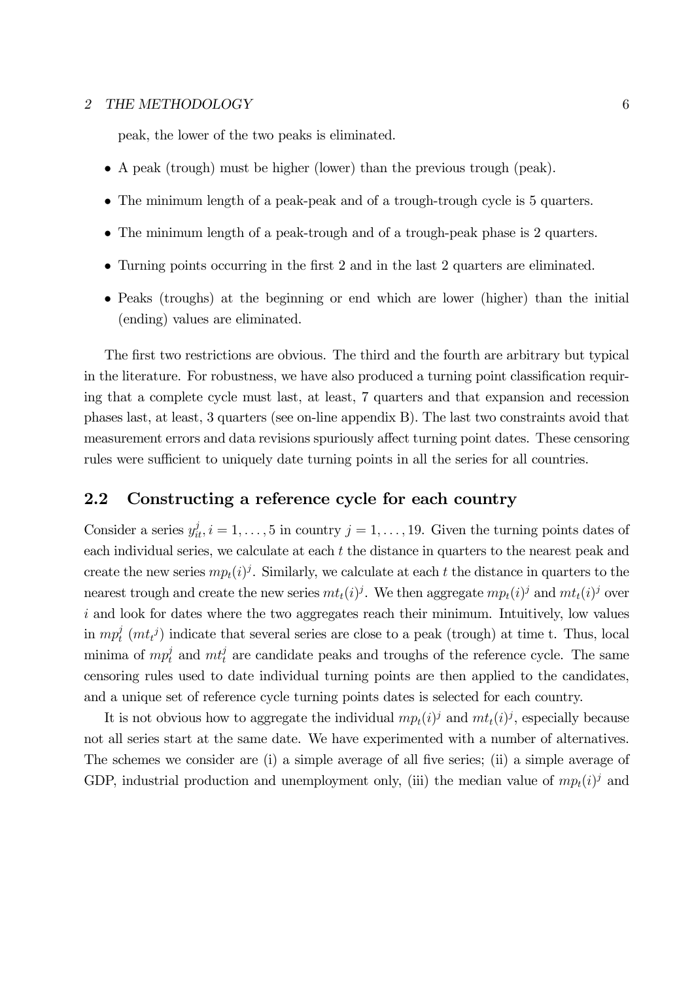peak, the lower of the two peaks is eliminated.

- A peak (trough) must be higher (lower) than the previous trough (peak).
- The minimum length of a peak-peak and of a trough-trough cycle is 5 quarters.
- The minimum length of a peak-trough and of a trough-peak phase is 2 quarters.
- Turning points occurring in the first 2 and in the last 2 quarters are eliminated.
- Peaks (troughs) at the beginning or end which are lower (higher) than the initial (ending) values are eliminated.

The first two restrictions are obvious. The third and the fourth are arbitrary but typical in the literature. For robustness, we have also produced a turning point classification requiring that a complete cycle must last, at least, 7 quarters and that expansion and recession phases last, at least, 3 quarters (see on-line appendix B). The last two constraints avoid that measurement errors and data revisions spuriously affect turning point dates. These censoring rules were sufficient to uniquely date turning points in all the series for all countries.

### 2.2 Constructing a reference cycle for each country

Consider a series  $y_{it}^j, i = 1, \ldots, 5$  in country  $j = 1, \ldots, 19$ . Given the turning points dates of each individual series, we calculate at each  $t$  the distance in quarters to the nearest peak and create the new series  $mp<sub>t</sub>(i)<sup>j</sup>$ . Similarly, we calculate at each t the distance in quarters to the nearest trough and create the new series  $m_t(i)^j$ . We then aggregate  $m_t(i)^j$  and  $m_t(i)^j$  over  $i$  and look for dates where the two aggregates reach their minimum. Intuitively, low values in  $mp_t^j$  ( $mt_t^j$ ) indicate that several series are close to a peak (trough) at time t. Thus, local minima of  $mp_t^j$  and  $mt_t^j$  are candidate peaks and troughs of the reference cycle. The same censoring rules used to date individual turning points are then applied to the candidates, and a unique set of reference cycle turning points dates is selected for each country.

It is not obvious how to aggregate the individual  $mp<sub>t</sub>(i)<sup>j</sup>$  and  $mt<sub>t</sub>(i)<sup>j</sup>$ , especially because not all series start at the same date. We have experimented with a number of alternatives. The schemes we consider are (i) a simple average of all five series; (ii) a simple average of GDP, industrial production and unemployment only, (iii) the median value of  $mp<sub>t</sub>(i)<sup>j</sup>$  and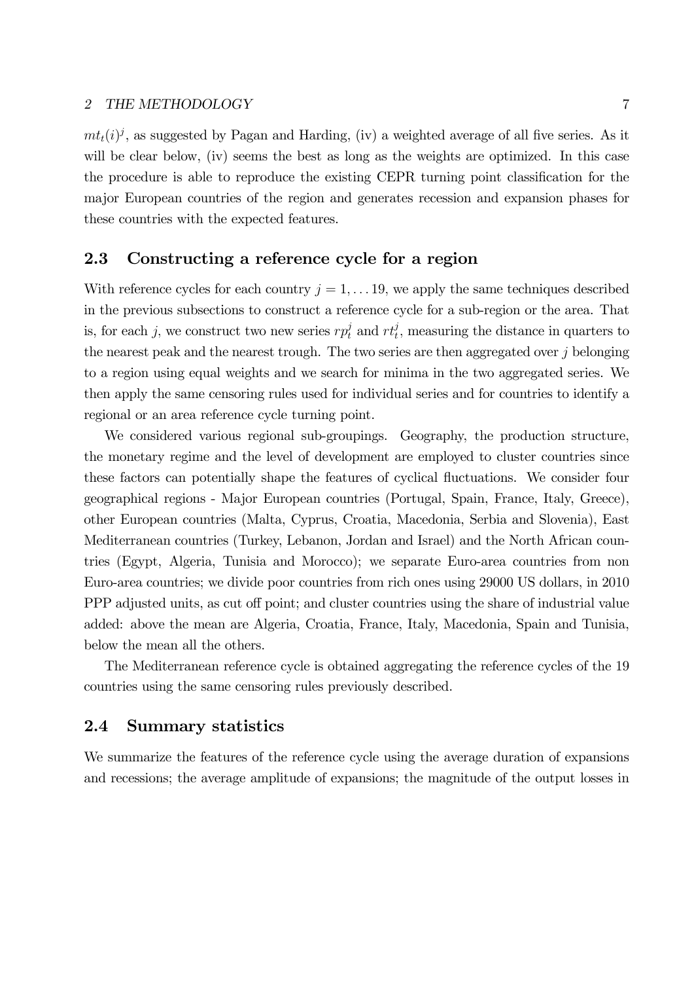$m_t(i)$ , as suggested by Pagan and Harding, (iv) a weighted average of all five series. As it will be clear below, (iv) seems the best as long as the weights are optimized. In this case the procedure is able to reproduce the existing CEPR turning point classification for the major European countries of the region and generates recession and expansion phases for these countries with the expected features.

## 2.3 Constructing a reference cycle for a region

With reference cycles for each country  $j = 1, \ldots 19$ , we apply the same techniques described in the previous subsections to construct a reference cycle for a sub-region or the area. That is, for each j, we construct two new series  $r p_t^j$  and  $r t_t^j$ , measuring the distance in quarters to the nearest peak and the nearest trough. The two series are then aggregated over  $j$  belonging to a region using equal weights and we search for minima in the two aggregated series. We then apply the same censoring rules used for individual series and for countries to identify a regional or an area reference cycle turning point.

We considered various regional sub-groupings. Geography, the production structure, the monetary regime and the level of development are employed to cluster countries since these factors can potentially shape the features of cyclical fluctuations. We consider four geographical regions - Major European countries (Portugal, Spain, France, Italy, Greece), other European countries (Malta, Cyprus, Croatia, Macedonia, Serbia and Slovenia), East Mediterranean countries (Turkey, Lebanon, Jordan and Israel) and the North African countries (Egypt, Algeria, Tunisia and Morocco); we separate Euro-area countries from non Euro-area countries; we divide poor countries from rich ones using 29000 US dollars, in 2010 PPP adjusted units, as cut off point; and cluster countries using the share of industrial value added: above the mean are Algeria, Croatia, France, Italy, Macedonia, Spain and Tunisia, below the mean all the others.

The Mediterranean reference cycle is obtained aggregating the reference cycles of the 19 countries using the same censoring rules previously described.

## 2.4 Summary statistics

We summarize the features of the reference cycle using the average duration of expansions and recessions; the average amplitude of expansions; the magnitude of the output losses in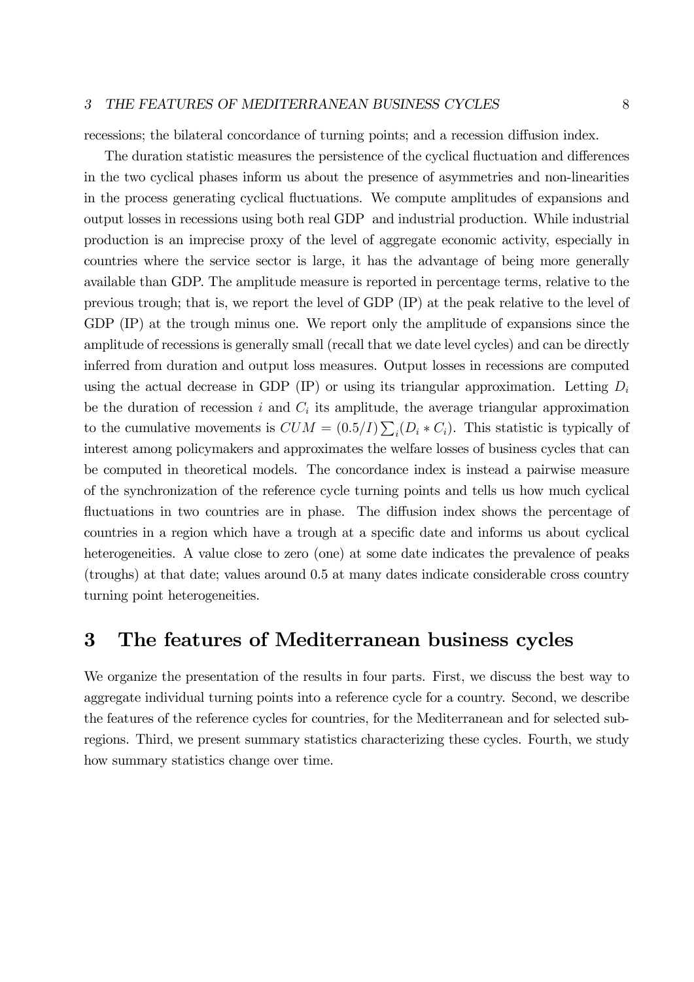#### 3 THE FEATURES OF MEDITERRANEAN BUSINESS CYCLES 8

recessions; the bilateral concordance of turning points; and a recession diffusion index.

The duration statistic measures the persistence of the cyclical fluctuation and differences in the two cyclical phases inform us about the presence of asymmetries and non-linearities in the process generating cyclical fluctuations. We compute amplitudes of expansions and output losses in recessions using both real GDP and industrial production. While industrial production is an imprecise proxy of the level of aggregate economic activity, especially in countries where the service sector is large, it has the advantage of being more generally available than GDP. The amplitude measure is reported in percentage terms, relative to the previous trough; that is, we report the level of GDP (IP) at the peak relative to the level of GDP (IP) at the trough minus one. We report only the amplitude of expansions since the amplitude of recessions is generally small (recall that we date level cycles) and can be directly inferred from duration and output loss measures. Output losses in recessions are computed using the actual decrease in GDP (IP) or using its triangular approximation. Letting  $D_i$ be the duration of recession  $i$  and  $C_i$  its amplitude, the average triangular approximation to the cumulative movements is  $CUM = (0.5/I) \sum_i (D_i * C_i)$ . This statistic is typically of interest among policymakers and approximates the welfare losses of business cycles that can be computed in theoretical models. The concordance index is instead a pairwise measure of the synchronization of the reference cycle turning points and tells us how much cyclical fluctuations in two countries are in phase. The diffusion index shows the percentage of countries in a region which have a trough at a specific date and informs us about cyclical heterogeneities. A value close to zero (one) at some date indicates the prevalence of peaks (troughs) at that date; values around 0.5 at many dates indicate considerable cross country turning point heterogeneities.

## 3 The features of Mediterranean business cycles

We organize the presentation of the results in four parts. First, we discuss the best way to aggregate individual turning points into a reference cycle for a country. Second, we describe the features of the reference cycles for countries, for the Mediterranean and for selected subregions. Third, we present summary statistics characterizing these cycles. Fourth, we study how summary statistics change over time.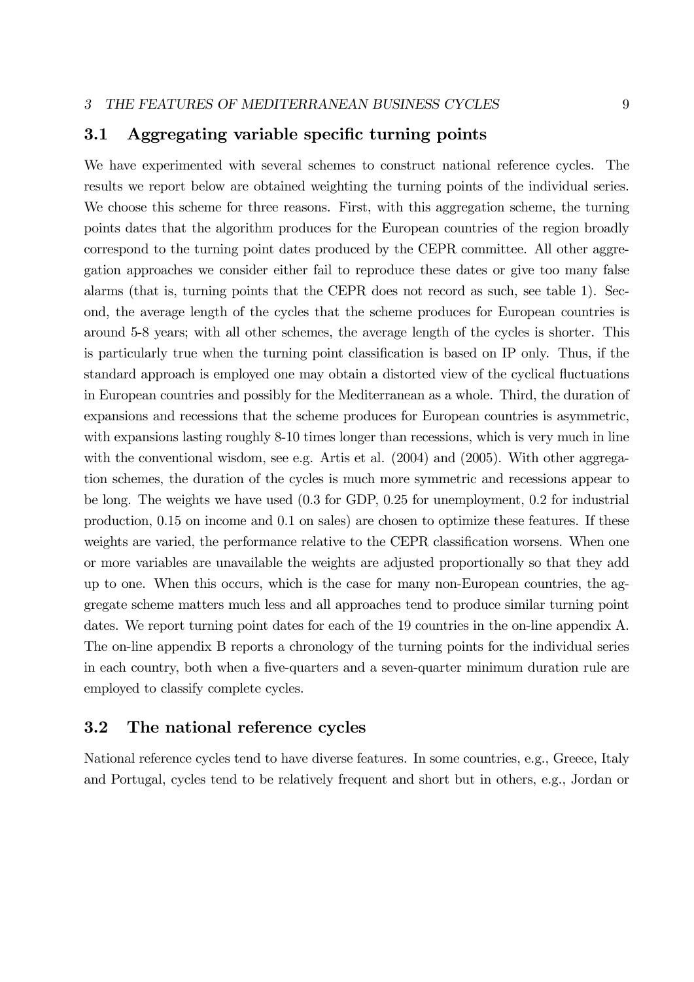## 3.1 Aggregating variable specific turning points

We have experimented with several schemes to construct national reference cycles. The results we report below are obtained weighting the turning points of the individual series. We choose this scheme for three reasons. First, with this aggregation scheme, the turning points dates that the algorithm produces for the European countries of the region broadly correspond to the turning point dates produced by the CEPR committee. All other aggregation approaches we consider either fail to reproduce these dates or give too many false alarms (that is, turning points that the CEPR does not record as such, see table 1). Second, the average length of the cycles that the scheme produces for European countries is around 5-8 years; with all other schemes, the average length of the cycles is shorter. This is particularly true when the turning point classification is based on IP only. Thus, if the standard approach is employed one may obtain a distorted view of the cyclical fluctuations in European countries and possibly for the Mediterranean as a whole. Third, the duration of expansions and recessions that the scheme produces for European countries is asymmetric, with expansions lasting roughly 8-10 times longer than recessions, which is very much in line with the conventional wisdom, see e.g. Artis et al. (2004) and (2005). With other aggregation schemes, the duration of the cycles is much more symmetric and recessions appear to be long. The weights we have used (0.3 for GDP, 0.25 for unemployment, 0.2 for industrial production, 0.15 on income and 0.1 on sales) are chosen to optimize these features. If these weights are varied, the performance relative to the CEPR classification worsens. When one or more variables are unavailable the weights are adjusted proportionally so that they add up to one. When this occurs, which is the case for many non-European countries, the aggregate scheme matters much less and all approaches tend to produce similar turning point dates. We report turning point dates for each of the 19 countries in the on-line appendix A. The on-line appendix B reports a chronology of the turning points for the individual series in each country, both when a five-quarters and a seven-quarter minimum duration rule are employed to classify complete cycles.

## 3.2 The national reference cycles

National reference cycles tend to have diverse features. In some countries, e.g., Greece, Italy and Portugal, cycles tend to be relatively frequent and short but in others, e.g., Jordan or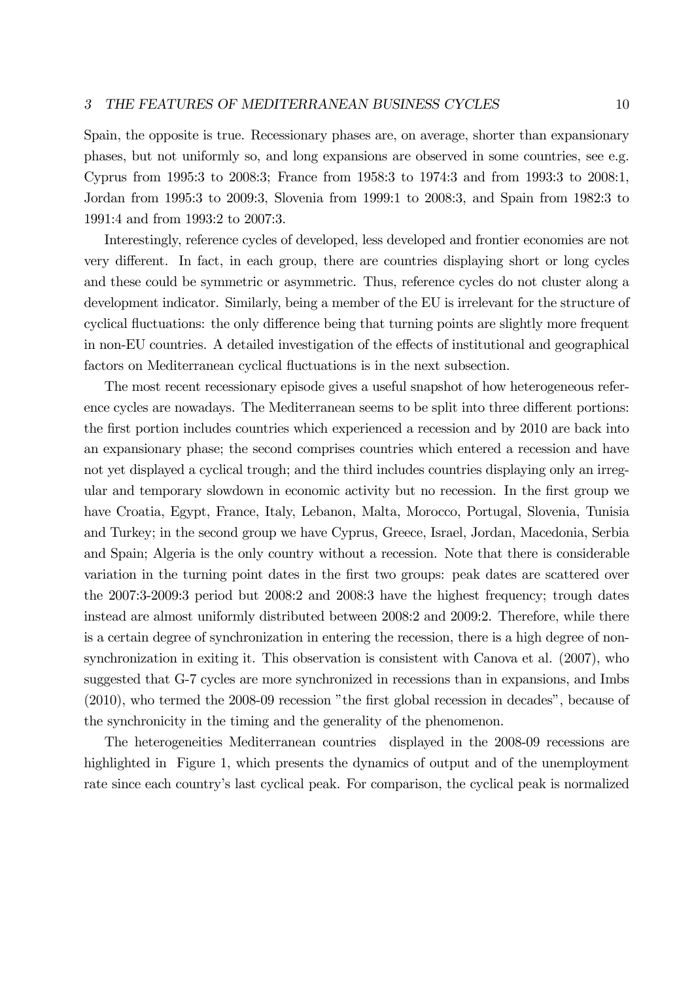Spain, the opposite is true. Recessionary phases are, on average, shorter than expansionary phases, but not uniformly so, and long expansions are observed in some countries, see e.g. Cyprus from 1995:3 to 2008:3; France from 1958:3 to 1974:3 and from 1993:3 to 2008:1, Jordan from 1995:3 to 2009:3, Slovenia from 1999:1 to 2008:3, and Spain from 1982:3 to 1991:4 and from 1993:2 to 2007:3.

Interestingly, reference cycles of developed, less developed and frontier economies are not very different. In fact, in each group, there are countries displaying short or long cycles and these could be symmetric or asymmetric. Thus, reference cycles do not cluster along a development indicator. Similarly, being a member of the EU is irrelevant for the structure of cyclical fluctuations: the only difference being that turning points are slightly more frequent in non-EU countries. A detailed investigation of the effects of institutional and geographical factors on Mediterranean cyclical fluctuations is in the next subsection.

The most recent recessionary episode gives a useful snapshot of how heterogeneous reference cycles are nowadays. The Mediterranean seems to be split into three different portions: the first portion includes countries which experienced a recession and by 2010 are back into an expansionary phase; the second comprises countries which entered a recession and have not yet displayed a cyclical trough; and the third includes countries displaying only an irregular and temporary slowdown in economic activity but no recession. In the first group we have Croatia, Egypt, France, Italy, Lebanon, Malta, Morocco, Portugal, Slovenia, Tunisia and Turkey; in the second group we have Cyprus, Greece, Israel, Jordan, Macedonia, Serbia and Spain; Algeria is the only country without a recession. Note that there is considerable variation in the turning point dates in the first two groups: peak dates are scattered over the 2007:3-2009:3 period but 2008:2 and 2008:3 have the highest frequency; trough dates instead are almost uniformly distributed between 2008:2 and 2009:2. Therefore, while there is a certain degree of synchronization in entering the recession, there is a high degree of nonsynchronization in exiting it. This observation is consistent with Canova et al. (2007), who suggested that G-7 cycles are more synchronized in recessions than in expansions, and Imbs (2010), who termed the 2008-09 recession "the first global recession in decades", because of the synchronicity in the timing and the generality of the phenomenon.

The heterogeneities Mediterranean countries displayed in the 2008-09 recessions are highlighted in Figure 1, which presents the dynamics of output and of the unemployment rate since each country's last cyclical peak. For comparison, the cyclical peak is normalized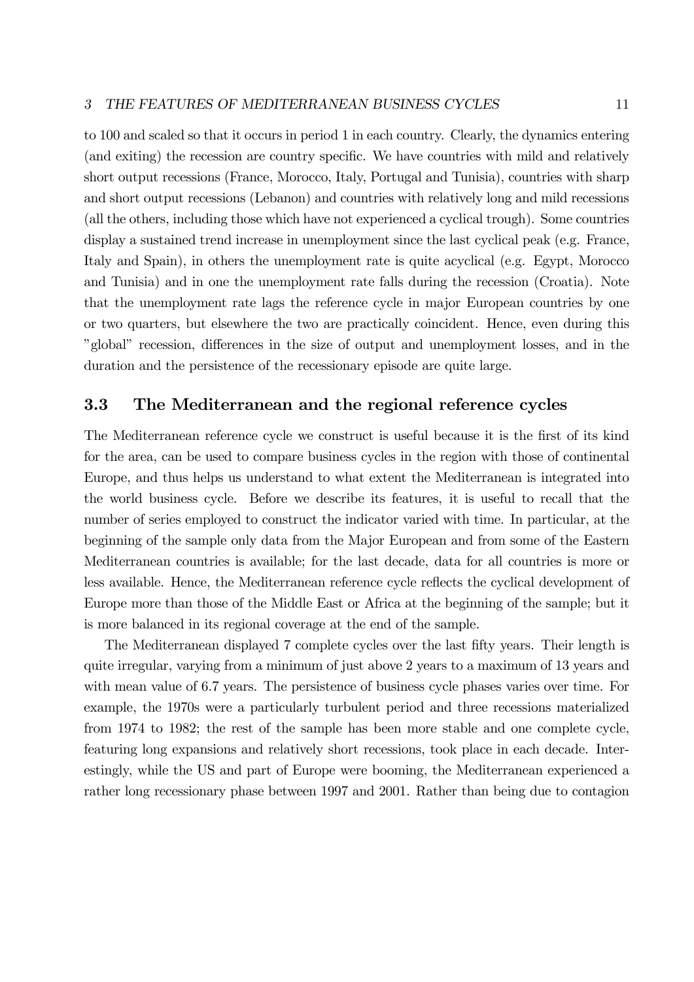### 3 THE FEATURES OF MEDITERRANEAN BUSINESS CYCLES 11

to 100 and scaled so that it occurs in period 1 in each country. Clearly, the dynamics entering (and exiting) the recession are country specific. We have countries with mild and relatively short output recessions (France, Morocco, Italy, Portugal and Tunisia), countries with sharp and short output recessions (Lebanon) and countries with relatively long and mild recessions (all the others, including those which have not experienced a cyclical trough). Some countries display a sustained trend increase in unemployment since the last cyclical peak (e.g. France, Italy and Spain), in others the unemployment rate is quite acyclical (e.g. Egypt, Morocco and Tunisia) and in one the unemployment rate falls during the recession (Croatia). Note that the unemployment rate lags the reference cycle in major European countries by one or two quarters, but elsewhere the two are practically coincident. Hence, even during this "global" recession, differences in the size of output and unemployment losses, and in the duration and the persistence of the recessionary episode are quite large.

## 3.3 The Mediterranean and the regional reference cycles

The Mediterranean reference cycle we construct is useful because it is the first of its kind for the area, can be used to compare business cycles in the region with those of continental Europe, and thus helps us understand to what extent the Mediterranean is integrated into the world business cycle. Before we describe its features, it is useful to recall that the number of series employed to construct the indicator varied with time. In particular, at the beginning of the sample only data from the Major European and from some of the Eastern Mediterranean countries is available; for the last decade, data for all countries is more or less available. Hence, the Mediterranean reference cycle reflects the cyclical development of Europe more than those of the Middle East or Africa at the beginning of the sample; but it is more balanced in its regional coverage at the end of the sample.

The Mediterranean displayed 7 complete cycles over the last fifty years. Their length is quite irregular, varying from a minimum of just above 2 years to a maximum of 13 years and with mean value of 6.7 years. The persistence of business cycle phases varies over time. For example, the 1970s were a particularly turbulent period and three recessions materialized from 1974 to 1982; the rest of the sample has been more stable and one complete cycle, featuring long expansions and relatively short recessions, took place in each decade. Interestingly, while the US and part of Europe were booming, the Mediterranean experienced a rather long recessionary phase between 1997 and 2001. Rather than being due to contagion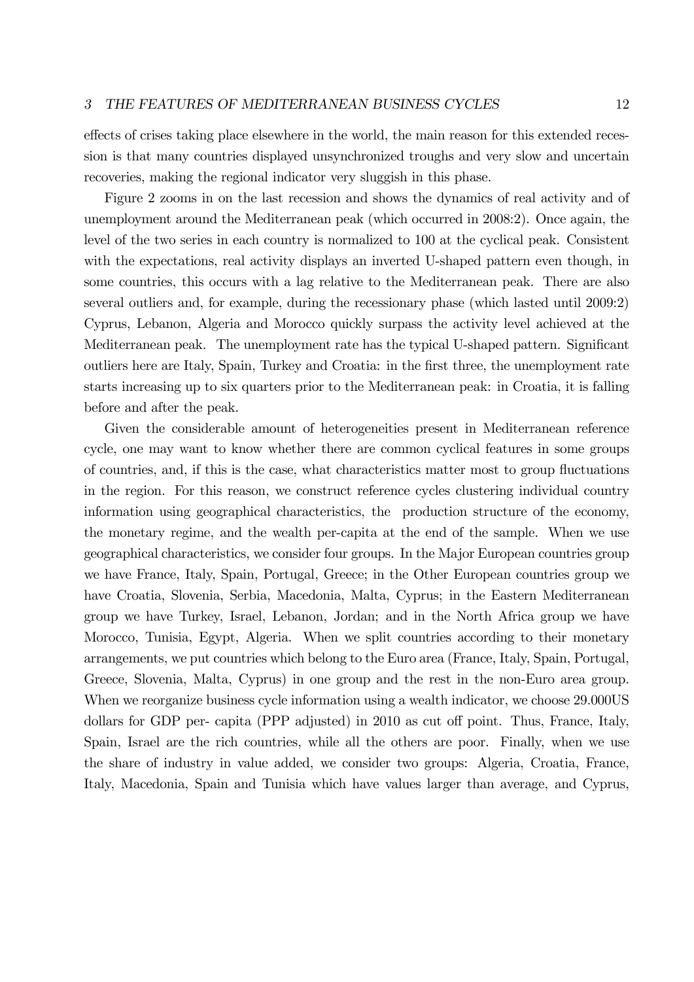effects of crises taking place elsewhere in the world, the main reason for this extended recession is that many countries displayed unsynchronized troughs and very slow and uncertain recoveries, making the regional indicator very sluggish in this phase.

Figure 2 zooms in on the last recession and shows the dynamics of real activity and of unemployment around the Mediterranean peak (which occurred in 2008:2). Once again, the level of the two series in each country is normalized to 100 at the cyclical peak. Consistent with the expectations, real activity displays an inverted U-shaped pattern even though, in some countries, this occurs with a lag relative to the Mediterranean peak. There are also several outliers and, for example, during the recessionary phase (which lasted until 2009:2) Cyprus, Lebanon, Algeria and Morocco quickly surpass the activity level achieved at the Mediterranean peak. The unemployment rate has the typical U-shaped pattern. Significant outliers here are Italy, Spain, Turkey and Croatia: in the first three, the unemployment rate starts increasing up to six quarters prior to the Mediterranean peak: in Croatia, it is falling before and after the peak.

Given the considerable amount of heterogeneities present in Mediterranean reference cycle, one may want to know whether there are common cyclical features in some groups of countries, and, if this is the case, what characteristics matter most to group fluctuations in the region. For this reason, we construct reference cycles clustering individual country information using geographical characteristics, the production structure of the economy, the monetary regime, and the wealth per-capita at the end of the sample. When we use geographical characteristics, we consider four groups. In the Major European countries group we have France, Italy, Spain, Portugal, Greece; in the Other European countries group we have Croatia, Slovenia, Serbia, Macedonia, Malta, Cyprus; in the Eastern Mediterranean group we have Turkey, Israel, Lebanon, Jordan; and in the North Africa group we have Morocco, Tunisia, Egypt, Algeria. When we split countries according to their monetary arrangements, we put countries which belong to the Euro area (France, Italy, Spain, Portugal, Greece, Slovenia, Malta, Cyprus) in one group and the rest in the non-Euro area group. When we reorganize business cycle information using a wealth indicator, we choose 29.000US dollars for GDP per- capita (PPP adjusted) in 2010 as cut off point. Thus, France, Italy, Spain, Israel are the rich countries, while all the others are poor. Finally, when we use the share of industry in value added, we consider two groups: Algeria, Croatia, France, Italy, Macedonia, Spain and Tunisia which have values larger than average, and Cyprus,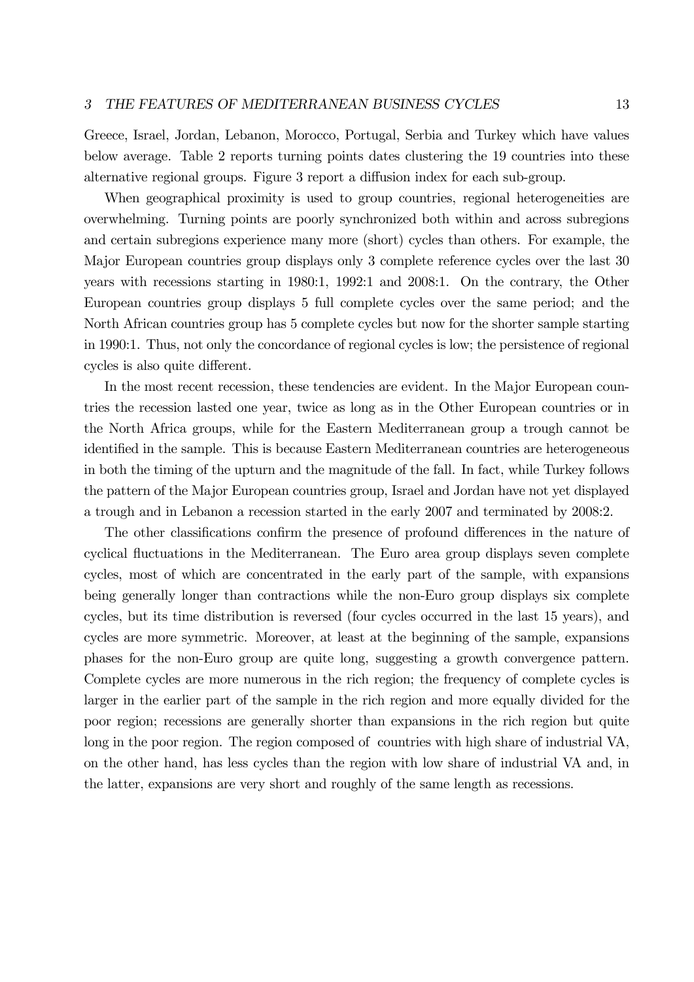Greece, Israel, Jordan, Lebanon, Morocco, Portugal, Serbia and Turkey which have values below average. Table 2 reports turning points dates clustering the 19 countries into these alternative regional groups. Figure 3 report a diffusion index for each sub-group.

When geographical proximity is used to group countries, regional heterogeneities are overwhelming. Turning points are poorly synchronized both within and across subregions and certain subregions experience many more (short) cycles than others. For example, the Major European countries group displays only 3 complete reference cycles over the last 30 years with recessions starting in 1980:1, 1992:1 and 2008:1. On the contrary, the Other European countries group displays 5 full complete cycles over the same period; and the North African countries group has 5 complete cycles but now for the shorter sample starting in 1990:1. Thus, not only the concordance of regional cycles is low; the persistence of regional cycles is also quite different.

In the most recent recession, these tendencies are evident. In the Major European countries the recession lasted one year, twice as long as in the Other European countries or in the North Africa groups, while for the Eastern Mediterranean group a trough cannot be identified in the sample. This is because Eastern Mediterranean countries are heterogeneous in both the timing of the upturn and the magnitude of the fall. In fact, while Turkey follows the pattern of the Major European countries group, Israel and Jordan have not yet displayed a trough and in Lebanon a recession started in the early 2007 and terminated by 2008:2.

The other classifications confirm the presence of profound differences in the nature of cyclical fluctuations in the Mediterranean. The Euro area group displays seven complete cycles, most of which are concentrated in the early part of the sample, with expansions being generally longer than contractions while the non-Euro group displays six complete cycles, but its time distribution is reversed (four cycles occurred in the last 15 years), and cycles are more symmetric. Moreover, at least at the beginning of the sample, expansions phases for the non-Euro group are quite long, suggesting a growth convergence pattern. Complete cycles are more numerous in the rich region; the frequency of complete cycles is larger in the earlier part of the sample in the rich region and more equally divided for the poor region; recessions are generally shorter than expansions in the rich region but quite long in the poor region. The region composed of countries with high share of industrial VA, on the other hand, has less cycles than the region with low share of industrial VA and, in the latter, expansions are very short and roughly of the same length as recessions.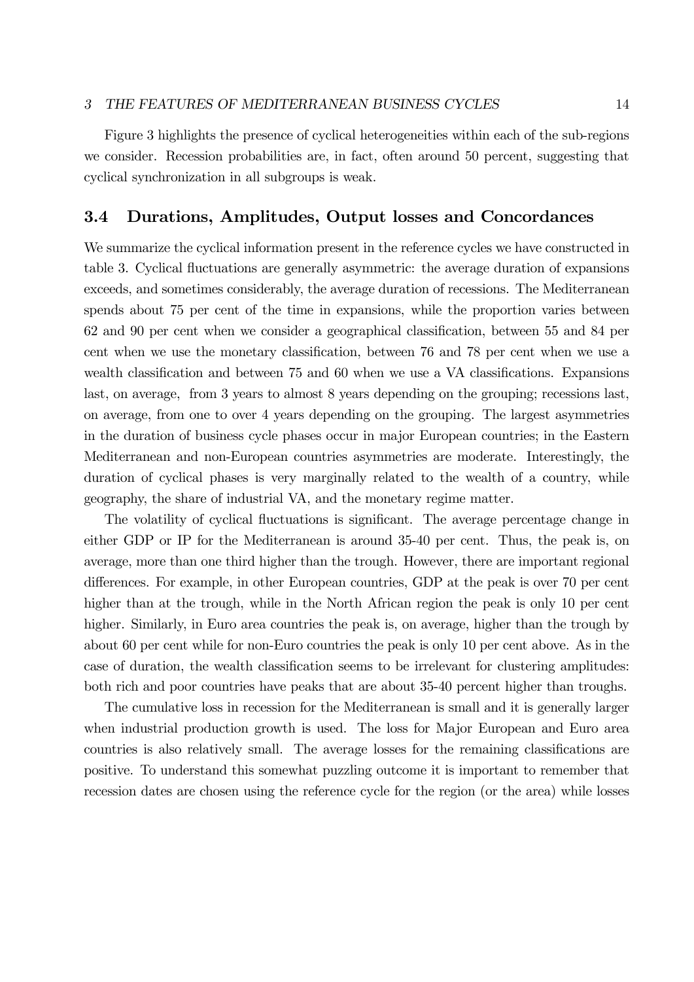#### 3 THE FEATURES OF MEDITERRANEAN BUSINESS CYCLES 14

Figure 3 highlights the presence of cyclical heterogeneities within each of the sub-regions we consider. Recession probabilities are, in fact, often around 50 percent, suggesting that cyclical synchronization in all subgroups is weak.

## 3.4 Durations, Amplitudes, Output losses and Concordances

We summarize the cyclical information present in the reference cycles we have constructed in table 3. Cyclical fluctuations are generally asymmetric: the average duration of expansions exceeds, and sometimes considerably, the average duration of recessions. The Mediterranean spends about 75 per cent of the time in expansions, while the proportion varies between 62 and 90 per cent when we consider a geographical classification, between 55 and 84 per cent when we use the monetary classification, between 76 and 78 per cent when we use a wealth classification and between 75 and 60 when we use a VA classifications. Expansions last, on average, from 3 years to almost 8 years depending on the grouping; recessions last, on average, from one to over 4 years depending on the grouping. The largest asymmetries in the duration of business cycle phases occur in major European countries; in the Eastern Mediterranean and non-European countries asymmetries are moderate. Interestingly, the duration of cyclical phases is very marginally related to the wealth of a country, while geography, the share of industrial VA, and the monetary regime matter.

The volatility of cyclical fluctuations is significant. The average percentage change in either GDP or IP for the Mediterranean is around 35-40 per cent. Thus, the peak is, on average, more than one third higher than the trough. However, there are important regional differences. For example, in other European countries, GDP at the peak is over 70 per cent higher than at the trough, while in the North African region the peak is only 10 per cent higher. Similarly, in Euro area countries the peak is, on average, higher than the trough by about 60 per cent while for non-Euro countries the peak is only 10 per cent above. As in the case of duration, the wealth classification seems to be irrelevant for clustering amplitudes: both rich and poor countries have peaks that are about 35-40 percent higher than troughs.

The cumulative loss in recession for the Mediterranean is small and it is generally larger when industrial production growth is used. The loss for Major European and Euro area countries is also relatively small. The average losses for the remaining classifications are positive. To understand this somewhat puzzling outcome it is important to remember that recession dates are chosen using the reference cycle for the region (or the area) while losses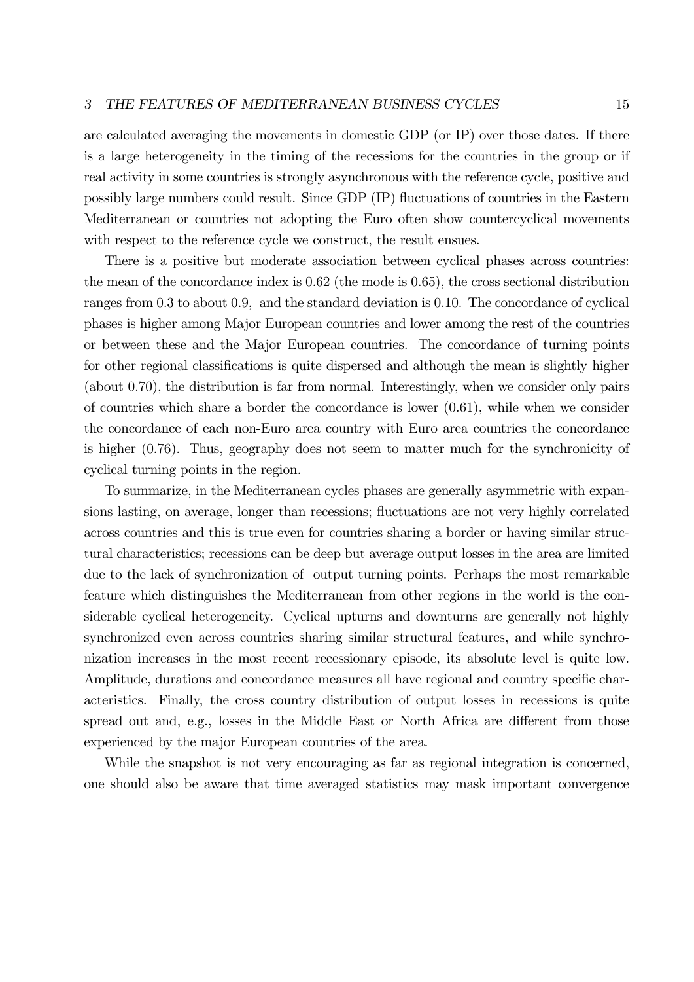are calculated averaging the movements in domestic GDP (or IP) over those dates. If there is a large heterogeneity in the timing of the recessions for the countries in the group or if real activity in some countries is strongly asynchronous with the reference cycle, positive and possibly large numbers could result. Since GDP (IP) fluctuations of countries in the Eastern Mediterranean or countries not adopting the Euro often show countercyclical movements with respect to the reference cycle we construct, the result ensues.

There is a positive but moderate association between cyclical phases across countries: the mean of the concordance index is 0.62 (the mode is 0.65), the cross sectional distribution ranges from 0.3 to about 0.9, and the standard deviation is 0.10. The concordance of cyclical phases is higher among Major European countries and lower among the rest of the countries or between these and the Major European countries. The concordance of turning points for other regional classifications is quite dispersed and although the mean is slightly higher (about 0.70), the distribution is far from normal. Interestingly, when we consider only pairs of countries which share a border the concordance is lower  $(0.61)$ , while when we consider the concordance of each non-Euro area country with Euro area countries the concordance is higher (0.76). Thus, geography does not seem to matter much for the synchronicity of cyclical turning points in the region.

To summarize, in the Mediterranean cycles phases are generally asymmetric with expansions lasting, on average, longer than recessions; fluctuations are not very highly correlated across countries and this is true even for countries sharing a border or having similar structural characteristics; recessions can be deep but average output losses in the area are limited due to the lack of synchronization of output turning points. Perhaps the most remarkable feature which distinguishes the Mediterranean from other regions in the world is the considerable cyclical heterogeneity. Cyclical upturns and downturns are generally not highly synchronized even across countries sharing similar structural features, and while synchronization increases in the most recent recessionary episode, its absolute level is quite low. Amplitude, durations and concordance measures all have regional and country specific characteristics. Finally, the cross country distribution of output losses in recessions is quite spread out and, e.g., losses in the Middle East or North Africa are different from those experienced by the major European countries of the area.

While the snapshot is not very encouraging as far as regional integration is concerned, one should also be aware that time averaged statistics may mask important convergence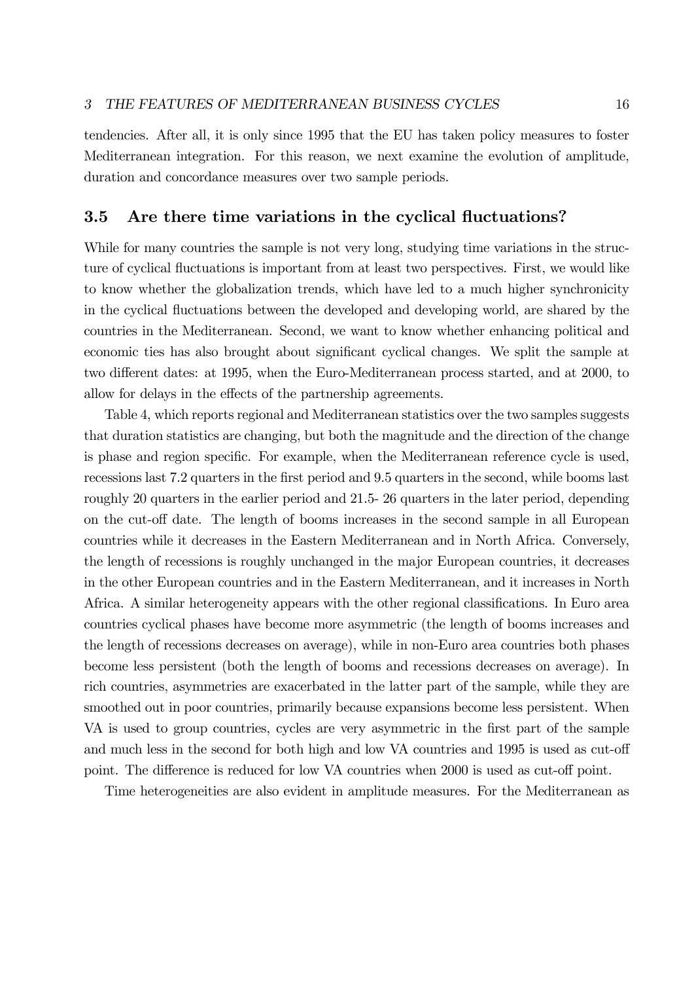tendencies. After all, it is only since 1995 that the EU has taken policy measures to foster Mediterranean integration. For this reason, we next examine the evolution of amplitude, duration and concordance measures over two sample periods.

## 3.5 Are there time variations in the cyclical fluctuations?

While for many countries the sample is not very long, studying time variations in the structure of cyclical fluctuations is important from at least two perspectives. First, we would like to know whether the globalization trends, which have led to a much higher synchronicity in the cyclical fluctuations between the developed and developing world, are shared by the countries in the Mediterranean. Second, we want to know whether enhancing political and economic ties has also brought about significant cyclical changes. We split the sample at two different dates: at 1995, when the Euro-Mediterranean process started, and at 2000, to allow for delays in the effects of the partnership agreements.

Table 4, which reports regional and Mediterranean statistics over the two samples suggests that duration statistics are changing, but both the magnitude and the direction of the change is phase and region specific. For example, when the Mediterranean reference cycle is used, recessions last 7.2 quarters in the first period and 9.5 quarters in the second, while booms last roughly 20 quarters in the earlier period and 21.5- 26 quarters in the later period, depending on the cut-off date. The length of booms increases in the second sample in all European countries while it decreases in the Eastern Mediterranean and in North Africa. Conversely, the length of recessions is roughly unchanged in the major European countries, it decreases in the other European countries and in the Eastern Mediterranean, and it increases in North Africa. A similar heterogeneity appears with the other regional classifications. In Euro area countries cyclical phases have become more asymmetric (the length of booms increases and the length of recessions decreases on average), while in non-Euro area countries both phases become less persistent (both the length of booms and recessions decreases on average). In rich countries, asymmetries are exacerbated in the latter part of the sample, while they are smoothed out in poor countries, primarily because expansions become less persistent. When VA is used to group countries, cycles are very asymmetric in the first part of the sample and much less in the second for both high and low VA countries and 1995 is used as cut-off point. The difference is reduced for low VA countries when 2000 is used as cut-off point.

Time heterogeneities are also evident in amplitude measures. For the Mediterranean as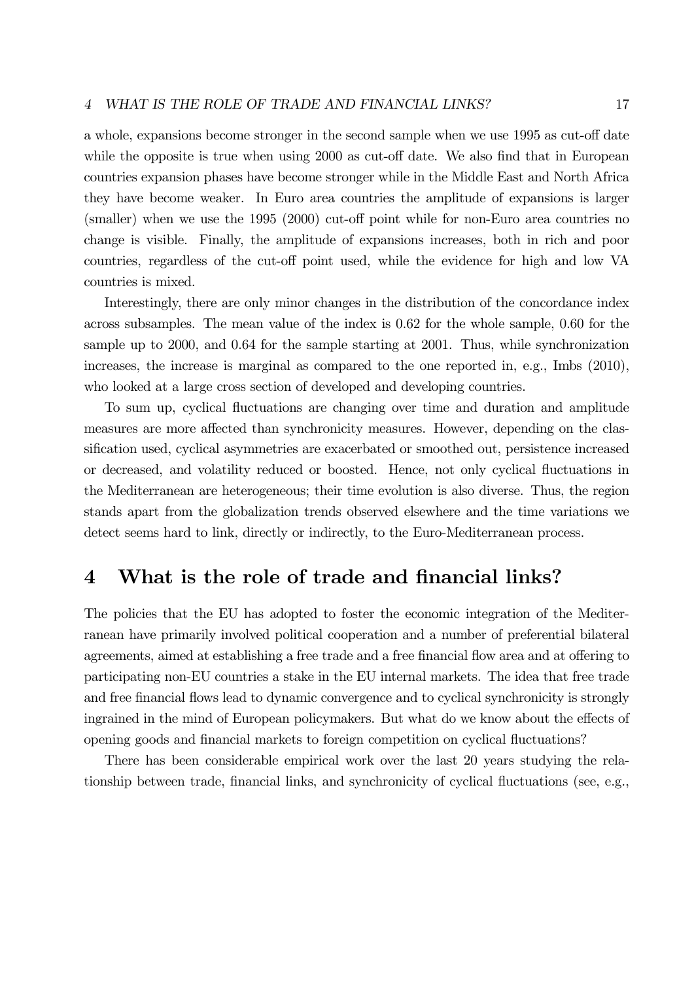### 4 WHAT IS THE ROLE OF TRADE AND FINANCIAL LINKS? 17

a whole, expansions become stronger in the second sample when we use 1995 as cut-off date while the opposite is true when using 2000 as cut-off date. We also find that in European countries expansion phases have become stronger while in the Middle East and North Africa they have become weaker. In Euro area countries the amplitude of expansions is larger (smaller) when we use the 1995 (2000) cut-off point while for non-Euro area countries no change is visible. Finally, the amplitude of expansions increases, both in rich and poor countries, regardless of the cut-off point used, while the evidence for high and low VA countries is mixed.

Interestingly, there are only minor changes in the distribution of the concordance index across subsamples. The mean value of the index is 0.62 for the whole sample, 0.60 for the sample up to 2000, and 0.64 for the sample starting at 2001. Thus, while synchronization increases, the increase is marginal as compared to the one reported in, e.g., Imbs (2010), who looked at a large cross section of developed and developing countries.

To sum up, cyclical fluctuations are changing over time and duration and amplitude measures are more affected than synchronicity measures. However, depending on the classification used, cyclical asymmetries are exacerbated or smoothed out, persistence increased or decreased, and volatility reduced or boosted. Hence, not only cyclical fluctuations in the Mediterranean are heterogeneous; their time evolution is also diverse. Thus, the region stands apart from the globalization trends observed elsewhere and the time variations we detect seems hard to link, directly or indirectly, to the Euro-Mediterranean process.

## 4 What is the role of trade and financial links?

The policies that the EU has adopted to foster the economic integration of the Mediterranean have primarily involved political cooperation and a number of preferential bilateral agreements, aimed at establishing a free trade and a free financial flow area and at offering to participating non-EU countries a stake in the EU internal markets. The idea that free trade and free financial flows lead to dynamic convergence and to cyclical synchronicity is strongly ingrained in the mind of European policymakers. But what do we know about the effects of opening goods and financial markets to foreign competition on cyclical fluctuations?

There has been considerable empirical work over the last 20 years studying the relationship between trade, financial links, and synchronicity of cyclical fluctuations (see, e.g.,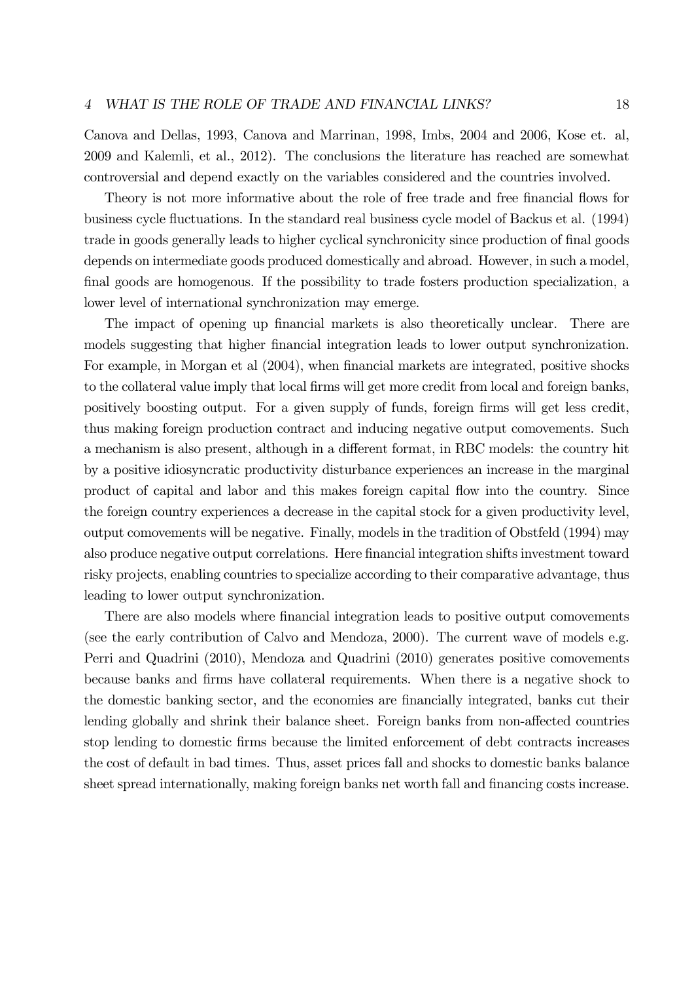Canova and Dellas, 1993, Canova and Marrinan, 1998, Imbs, 2004 and 2006, Kose et. al, 2009 and Kalemli, et al., 2012). The conclusions the literature has reached are somewhat controversial and depend exactly on the variables considered and the countries involved.

Theory is not more informative about the role of free trade and free financial flows for business cycle fluctuations. In the standard real business cycle model of Backus et al. (1994) trade in goods generally leads to higher cyclical synchronicity since production of final goods depends on intermediate goods produced domestically and abroad. However, in such a model, final goods are homogenous. If the possibility to trade fosters production specialization, a lower level of international synchronization may emerge.

The impact of opening up financial markets is also theoretically unclear. There are models suggesting that higher financial integration leads to lower output synchronization. For example, in Morgan et al (2004), when financial markets are integrated, positive shocks to the collateral value imply that local firms will get more credit from local and foreign banks, positively boosting output. For a given supply of funds, foreign firms will get less credit, thus making foreign production contract and inducing negative output comovements. Such a mechanism is also present, although in a different format, in RBC models: the country hit by a positive idiosyncratic productivity disturbance experiences an increase in the marginal product of capital and labor and this makes foreign capital flow into the country. Since the foreign country experiences a decrease in the capital stock for a given productivity level, output comovements will be negative. Finally, models in the tradition of Obstfeld (1994) may also produce negative output correlations. Here financial integration shifts investment toward risky projects, enabling countries to specialize according to their comparative advantage, thus leading to lower output synchronization.

There are also models where financial integration leads to positive output comovements (see the early contribution of Calvo and Mendoza, 2000). The current wave of models e.g. Perri and Quadrini (2010), Mendoza and Quadrini (2010) generates positive comovements because banks and firms have collateral requirements. When there is a negative shock to the domestic banking sector, and the economies are financially integrated, banks cut their lending globally and shrink their balance sheet. Foreign banks from non-affected countries stop lending to domestic firms because the limited enforcement of debt contracts increases the cost of default in bad times. Thus, asset prices fall and shocks to domestic banks balance sheet spread internationally, making foreign banks net worth fall and financing costs increase.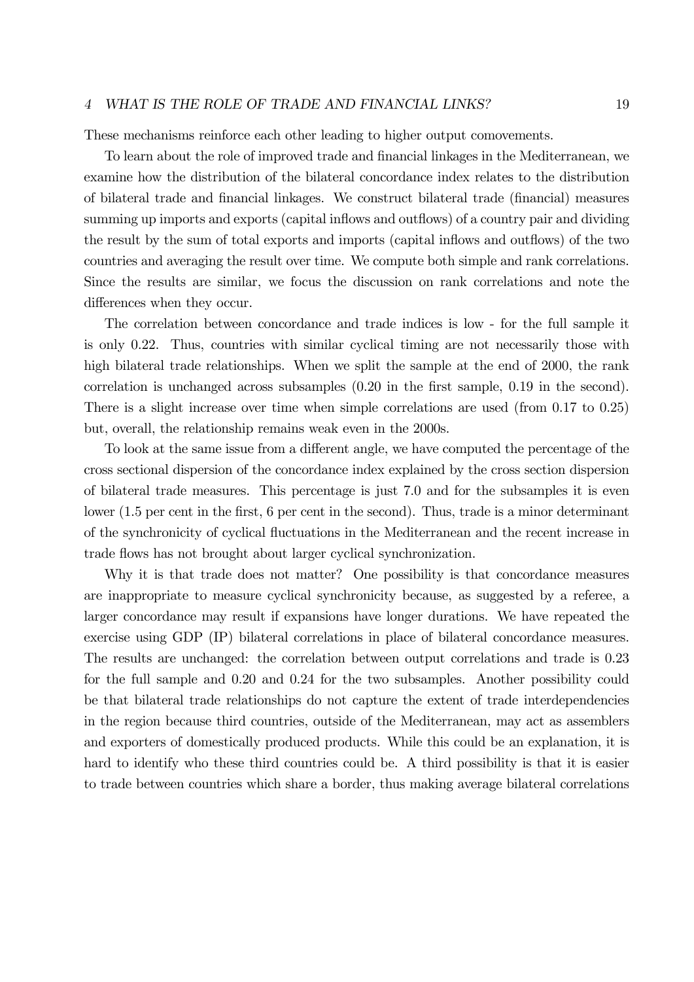#### 4 WHAT IS THE ROLE OF TRADE AND FINANCIAL LINKS? 19

These mechanisms reinforce each other leading to higher output comovements.

To learn about the role of improved trade and financial linkages in the Mediterranean, we examine how the distribution of the bilateral concordance index relates to the distribution of bilateral trade and financial linkages. We construct bilateral trade (financial) measures summing up imports and exports (capital inflows and outflows) of a country pair and dividing the result by the sum of total exports and imports (capital inflows and outflows) of the two countries and averaging the result over time. We compute both simple and rank correlations. Since the results are similar, we focus the discussion on rank correlations and note the differences when they occur.

The correlation between concordance and trade indices is low - for the full sample it is only 0.22. Thus, countries with similar cyclical timing are not necessarily those with high bilateral trade relationships. When we split the sample at the end of 2000, the rank correlation is unchanged across subsamples (0.20 in the first sample, 0.19 in the second). There is a slight increase over time when simple correlations are used (from 0.17 to 0.25) but, overall, the relationship remains weak even in the 2000s.

To look at the same issue from a different angle, we have computed the percentage of the cross sectional dispersion of the concordance index explained by the cross section dispersion of bilateral trade measures. This percentage is just 7.0 and for the subsamples it is even lower (1.5 per cent in the first, 6 per cent in the second). Thus, trade is a minor determinant of the synchronicity of cyclical fluctuations in the Mediterranean and the recent increase in trade flows has not brought about larger cyclical synchronization.

Why it is that trade does not matter? One possibility is that concordance measures are inappropriate to measure cyclical synchronicity because, as suggested by a referee, a larger concordance may result if expansions have longer durations. We have repeated the exercise using GDP (IP) bilateral correlations in place of bilateral concordance measures. The results are unchanged: the correlation between output correlations and trade is 0.23 for the full sample and 0.20 and 0.24 for the two subsamples. Another possibility could be that bilateral trade relationships do not capture the extent of trade interdependencies in the region because third countries, outside of the Mediterranean, may act as assemblers and exporters of domestically produced products. While this could be an explanation, it is hard to identify who these third countries could be. A third possibility is that it is easier to trade between countries which share a border, thus making average bilateral correlations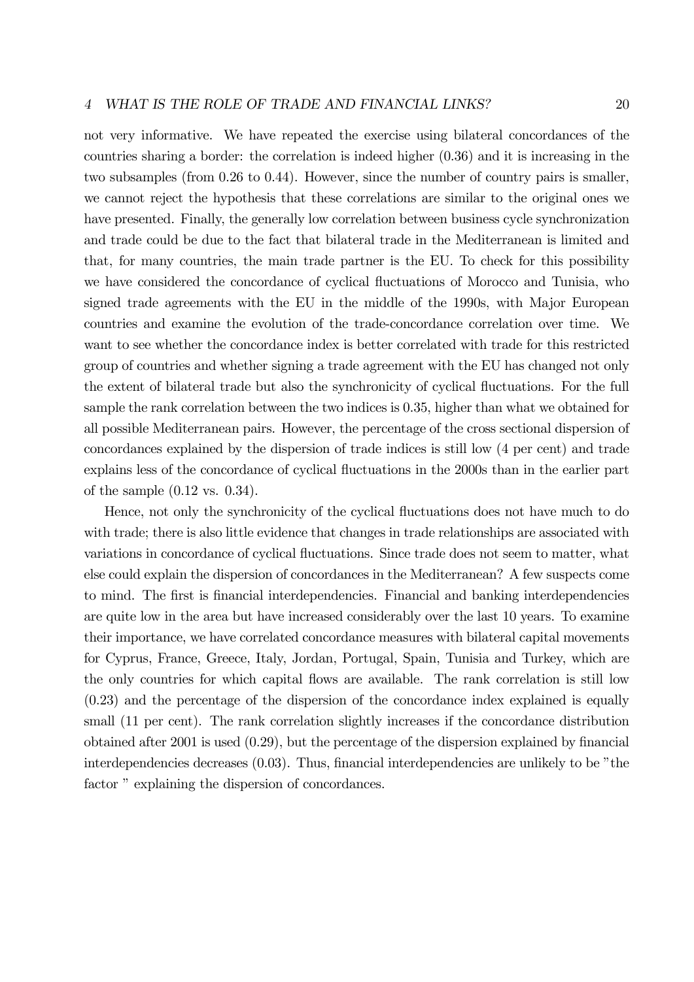not very informative. We have repeated the exercise using bilateral concordances of the countries sharing a border: the correlation is indeed higher (0.36) and it is increasing in the two subsamples (from 0.26 to 0.44). However, since the number of country pairs is smaller, we cannot reject the hypothesis that these correlations are similar to the original ones we have presented. Finally, the generally low correlation between business cycle synchronization and trade could be due to the fact that bilateral trade in the Mediterranean is limited and that, for many countries, the main trade partner is the EU. To check for this possibility we have considered the concordance of cyclical fluctuations of Morocco and Tunisia, who signed trade agreements with the EU in the middle of the 1990s, with Major European countries and examine the evolution of the trade-concordance correlation over time. We want to see whether the concordance index is better correlated with trade for this restricted group of countries and whether signing a trade agreement with the EU has changed not only the extent of bilateral trade but also the synchronicity of cyclical fluctuations. For the full sample the rank correlation between the two indices is 0.35, higher than what we obtained for all possible Mediterranean pairs. However, the percentage of the cross sectional dispersion of concordances explained by the dispersion of trade indices is still low (4 per cent) and trade explains less of the concordance of cyclical fluctuations in the 2000s than in the earlier part of the sample (0.12 vs. 0.34).

Hence, not only the synchronicity of the cyclical fluctuations does not have much to do with trade; there is also little evidence that changes in trade relationships are associated with variations in concordance of cyclical fluctuations. Since trade does not seem to matter, what else could explain the dispersion of concordances in the Mediterranean? A few suspects come to mind. The first is financial interdependencies. Financial and banking interdependencies are quite low in the area but have increased considerably over the last 10 years. To examine their importance, we have correlated concordance measures with bilateral capital movements for Cyprus, France, Greece, Italy, Jordan, Portugal, Spain, Tunisia and Turkey, which are the only countries for which capital flows are available. The rank correlation is still low (0.23) and the percentage of the dispersion of the concordance index explained is equally small (11 per cent). The rank correlation slightly increases if the concordance distribution obtained after 2001 is used (0.29), but the percentage of the dispersion explained by financial interdependencies decreases (0.03). Thus, financial interdependencies are unlikely to be "the factor " explaining the dispersion of concordances.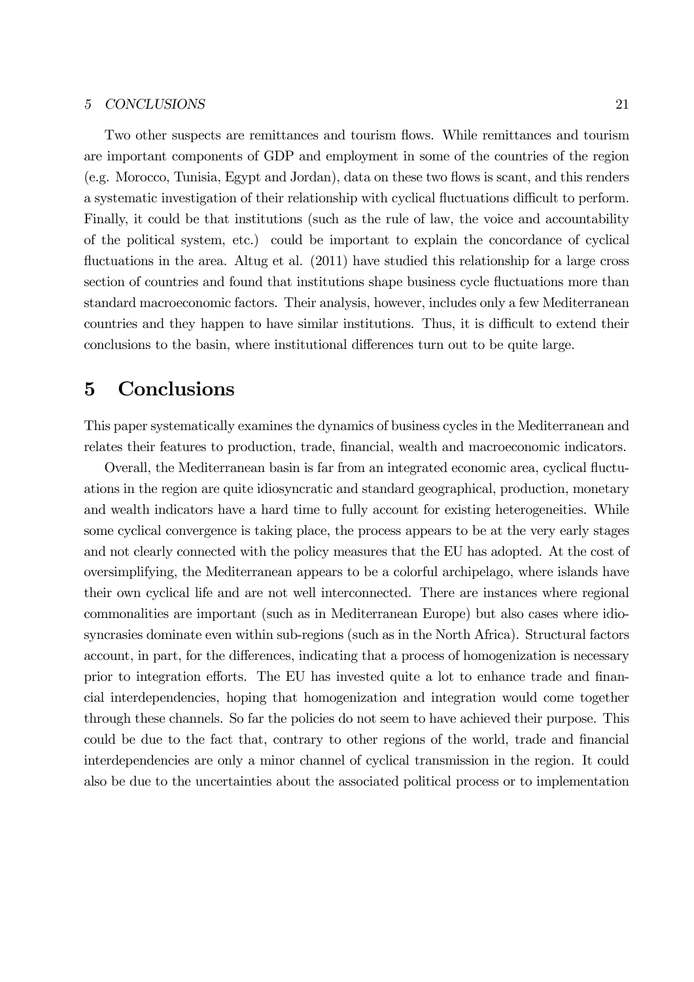Two other suspects are remittances and tourism flows. While remittances and tourism are important components of GDP and employment in some of the countries of the region (e.g. Morocco, Tunisia, Egypt and Jordan), data on these two flows is scant, and this renders a systematic investigation of their relationship with cyclical fluctuations difficult to perform. Finally, it could be that institutions (such as the rule of law, the voice and accountability of the political system, etc.) could be important to explain the concordance of cyclical fluctuations in the area. Altug et al.  $(2011)$  have studied this relationship for a large cross section of countries and found that institutions shape business cycle fluctuations more than standard macroeconomic factors. Their analysis, however, includes only a few Mediterranean countries and they happen to have similar institutions. Thus, it is difficult to extend their conclusions to the basin, where institutional differences turn out to be quite large.

## 5 Conclusions

This paper systematically examines the dynamics of business cycles in the Mediterranean and relates their features to production, trade, financial, wealth and macroeconomic indicators.

Overall, the Mediterranean basin is far from an integrated economic area, cyclical fluctuations in the region are quite idiosyncratic and standard geographical, production, monetary and wealth indicators have a hard time to fully account for existing heterogeneities. While some cyclical convergence is taking place, the process appears to be at the very early stages and not clearly connected with the policy measures that the EU has adopted. At the cost of oversimplifying, the Mediterranean appears to be a colorful archipelago, where islands have their own cyclical life and are not well interconnected. There are instances where regional commonalities are important (such as in Mediterranean Europe) but also cases where idiosyncrasies dominate even within sub-regions (such as in the North Africa). Structural factors account, in part, for the differences, indicating that a process of homogenization is necessary prior to integration efforts. The EU has invested quite a lot to enhance trade and financial interdependencies, hoping that homogenization and integration would come together through these channels. So far the policies do not seem to have achieved their purpose. This could be due to the fact that, contrary to other regions of the world, trade and financial interdependencies are only a minor channel of cyclical transmission in the region. It could also be due to the uncertainties about the associated political process or to implementation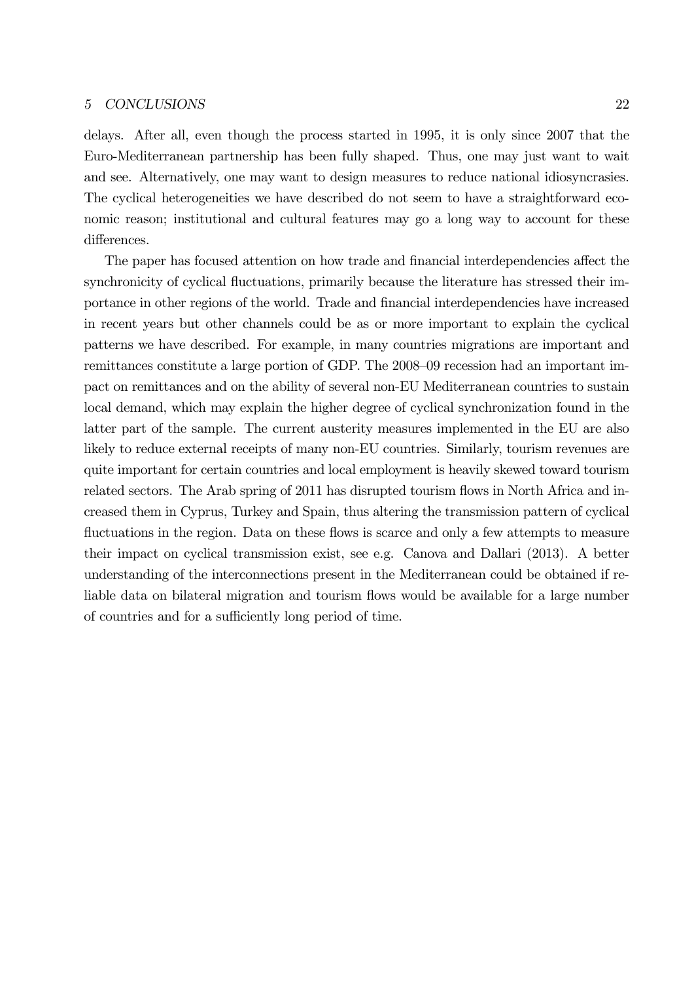delays. After all, even though the process started in 1995, it is only since 2007 that the Euro-Mediterranean partnership has been fully shaped. Thus, one may just want to wait and see. Alternatively, one may want to design measures to reduce national idiosyncrasies. The cyclical heterogeneities we have described do not seem to have a straightforward economic reason; institutional and cultural features may go a long way to account for these differences.

The paper has focused attention on how trade and financial interdependencies affect the synchronicity of cyclical fluctuations, primarily because the literature has stressed their importance in other regions of the world. Trade and financial interdependencies have increased in recent years but other channels could be as or more important to explain the cyclical patterns we have described. For example, in many countries migrations are important and remittances constitute a large portion of GDP. The 2008—09 recession had an important impact on remittances and on the ability of several non-EU Mediterranean countries to sustain local demand, which may explain the higher degree of cyclical synchronization found in the latter part of the sample. The current austerity measures implemented in the EU are also likely to reduce external receipts of many non-EU countries. Similarly, tourism revenues are quite important for certain countries and local employment is heavily skewed toward tourism related sectors. The Arab spring of 2011 has disrupted tourism flows in North Africa and increased them in Cyprus, Turkey and Spain, thus altering the transmission pattern of cyclical fluctuations in the region. Data on these flows is scarce and only a few attempts to measure their impact on cyclical transmission exist, see e.g. Canova and Dallari (2013). A better understanding of the interconnections present in the Mediterranean could be obtained if reliable data on bilateral migration and tourism flows would be available for a large number of countries and for a sufficiently long period of time.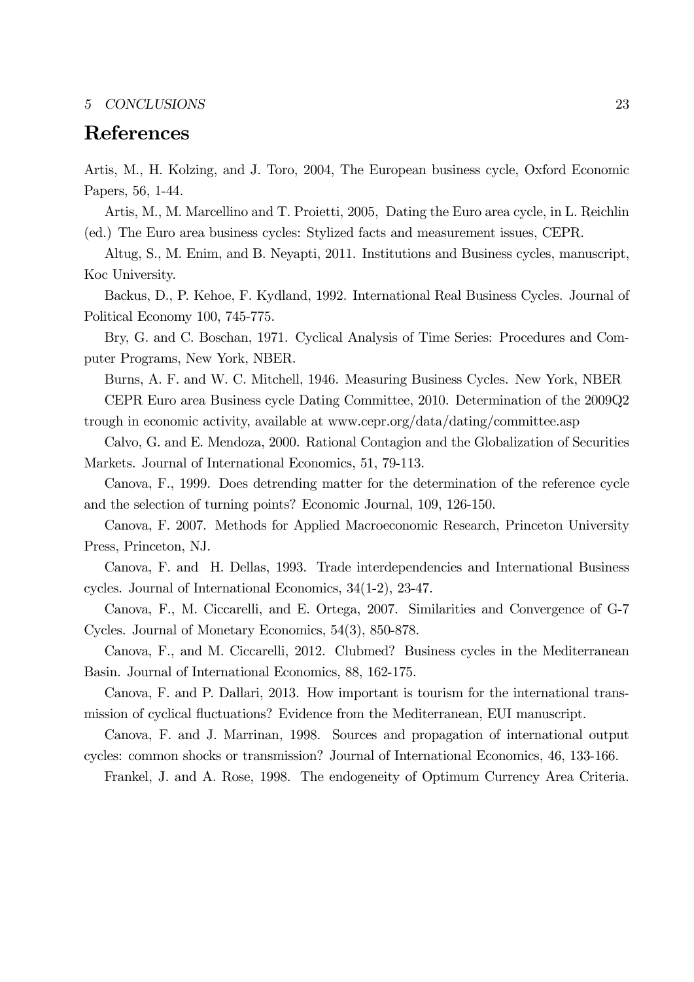## References

Artis, M., H. Kolzing, and J. Toro, 2004, The European business cycle, Oxford Economic Papers, 56, 1-44.

Artis, M., M. Marcellino and T. Proietti, 2005, Dating the Euro area cycle, in L. Reichlin (ed.) The Euro area business cycles: Stylized facts and measurement issues, CEPR.

Altug, S., M. Enim, and B. Neyapti, 2011. Institutions and Business cycles, manuscript, Koc University.

Backus, D., P. Kehoe, F. Kydland, 1992. International Real Business Cycles. Journal of Political Economy 100, 745-775.

Bry, G. and C. Boschan, 1971. Cyclical Analysis of Time Series: Procedures and Computer Programs, New York, NBER.

Burns, A. F. and W. C. Mitchell, 1946. Measuring Business Cycles. New York, NBER CEPR Euro area Business cycle Dating Committee, 2010. Determination of the 2009Q2

trough in economic activity, available at www.cepr.org/data/dating/committee.asp

Calvo, G. and E. Mendoza, 2000. Rational Contagion and the Globalization of Securities Markets. Journal of International Economics, 51, 79-113.

Canova, F., 1999. Does detrending matter for the determination of the reference cycle and the selection of turning points? Economic Journal, 109, 126-150.

Canova, F. 2007. Methods for Applied Macroeconomic Research, Princeton University Press, Princeton, NJ.

Canova, F. and H. Dellas, 1993. Trade interdependencies and International Business cycles. Journal of International Economics, 34(1-2), 23-47.

Canova, F., M. Ciccarelli, and E. Ortega, 2007. Similarities and Convergence of G-7 Cycles. Journal of Monetary Economics, 54(3), 850-878.

Canova, F., and M. Ciccarelli, 2012. Clubmed? Business cycles in the Mediterranean Basin. Journal of International Economics, 88, 162-175.

Canova, F. and P. Dallari, 2013. How important is tourism for the international transmission of cyclical fluctuations? Evidence from the Mediterranean, EUI manuscript.

Canova, F. and J. Marrinan, 1998. Sources and propagation of international output cycles: common shocks or transmission? Journal of International Economics, 46, 133-166.

Frankel, J. and A. Rose, 1998. The endogeneity of Optimum Currency Area Criteria.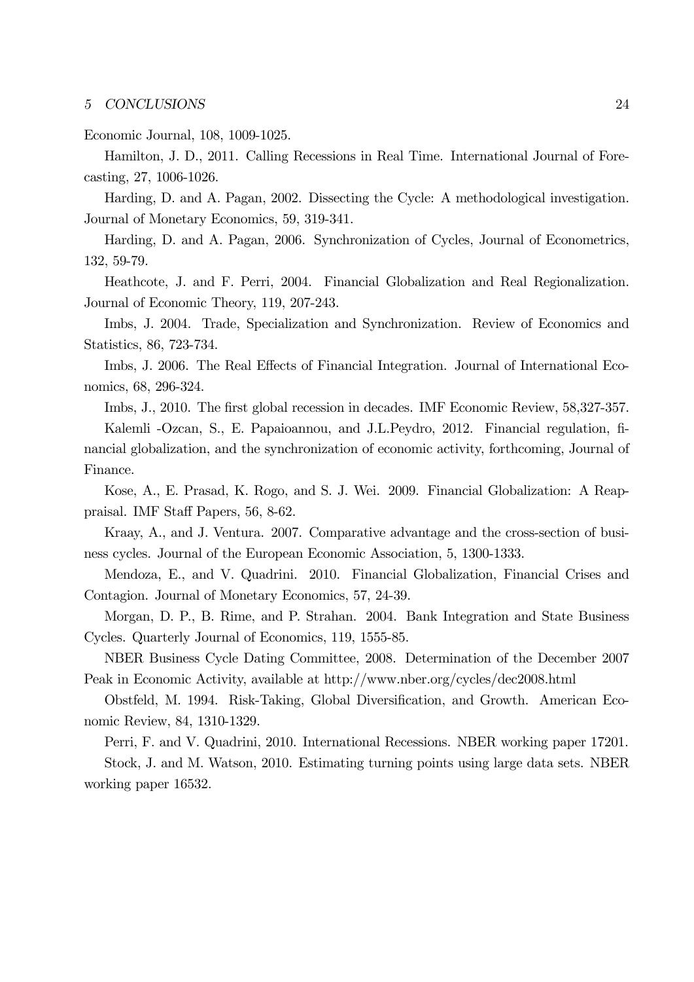### Economic Journal, 108, 1009-1025.

Hamilton, J. D., 2011. Calling Recessions in Real Time. International Journal of Forecasting, 27, 1006-1026.

Harding, D. and A. Pagan, 2002. Dissecting the Cycle: A methodological investigation. Journal of Monetary Economics, 59, 319-341.

Harding, D. and A. Pagan, 2006. Synchronization of Cycles, Journal of Econometrics, 132, 59-79.

Heathcote, J. and F. Perri, 2004. Financial Globalization and Real Regionalization. Journal of Economic Theory, 119, 207-243.

Imbs, J. 2004. Trade, Specialization and Synchronization. Review of Economics and Statistics, 86, 723-734.

Imbs, J. 2006. The Real Effects of Financial Integration. Journal of International Economics, 68, 296-324.

Imbs, J., 2010. The first global recession in decades. IMF Economic Review, 58,327-357. Kalemli -Ozcan, S., E. Papaioannou, and J.L.Peydro, 2012. Financial regulation, financial globalization, and the synchronization of economic activity, forthcoming, Journal of Finance.

Kose, A., E. Prasad, K. Rogo, and S. J. Wei. 2009. Financial Globalization: A Reappraisal. IMF Staff Papers, 56, 8-62.

Kraay, A., and J. Ventura. 2007. Comparative advantage and the cross-section of business cycles. Journal of the European Economic Association, 5, 1300-1333.

Mendoza, E., and V. Quadrini. 2010. Financial Globalization, Financial Crises and Contagion. Journal of Monetary Economics, 57, 24-39.

Morgan, D. P., B. Rime, and P. Strahan. 2004. Bank Integration and State Business Cycles. Quarterly Journal of Economics, 119, 1555-85.

NBER Business Cycle Dating Committee, 2008. Determination of the December 2007 Peak in Economic Activity, available at http://www.nber.org/cycles/dec2008.html

Obstfeld, M. 1994. Risk-Taking, Global Diversification, and Growth. American Economic Review, 84, 1310-1329.

Perri, F. and V. Quadrini, 2010. International Recessions. NBER working paper 17201.

Stock, J. and M. Watson, 2010. Estimating turning points using large data sets. NBER working paper 16532.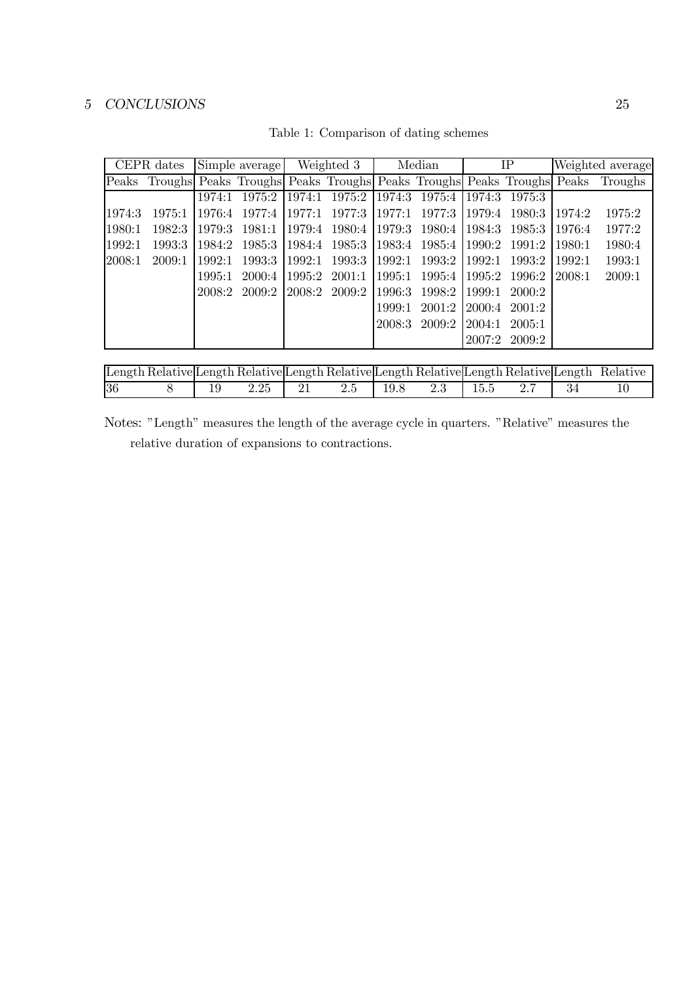| Table 1: Comparison of dating schemes |  |
|---------------------------------------|--|
|---------------------------------------|--|

| Simple average<br>CEPR dates |                                                                             |        | Weighted 3 |        | Median        |        | IP     | Weighted average |               |         |         |
|------------------------------|-----------------------------------------------------------------------------|--------|------------|--------|---------------|--------|--------|------------------|---------------|---------|---------|
|                              | Peaks Troughs Peaks Troughs Peaks Troughs Peaks Troughs Peaks Troughs Peaks |        |            |        |               |        |        |                  |               |         | Troughs |
|                              |                                                                             | 1974:1 | 1975:2     | 1974:1 | 1975:2        | 1974:3 | 1975:4 | 1974:3           | 1975:3        |         |         |
| 1974:3                       | 1975:1                                                                      | 1976:4 | 1977:4     | 1977:1 | 1977:3        | 1977:1 | 1977:3 | 1979:4           | -1980:3       | 11974:2 | 1975:2  |
| 1980:1                       | 1982:3                                                                      | 1979:3 | 1981:1     | 1979:4 | 1980:4 1979:3 |        | 1980:4 | 1984:3           | -1985:3       | 11976:4 | 1977:2  |
| 1992:1                       | 1993:3                                                                      | 1984:2 | 1985:3     | 1984:4 | 1985:3        | 1983:4 | 1985:4 | 1990.2           | 1991:2        | 1980:1  | 1980:4  |
| 2008:1                       | 2009:1                                                                      | 1999:1 | 1993:3     | 1992:1 | 1993:3        | 1992:1 | 1993:2 | 1992:1           | 1993:2        | 11992:1 | 1993:1  |
|                              |                                                                             | 1995:1 | 2000:4     | 1995:2 | 2001:1        | 1995:1 | 1995:4 | 1995:2           | 1996:2        | 12008:1 | 2009:1  |
|                              |                                                                             | 2008:2 | 2009:2     |        | 2008:2 2009:2 | 1996:3 | 1998:2 | 1999:1           | 2000:2        |         |         |
|                              |                                                                             |        |            |        |               | 1999:1 | 2001:2 | 2000:4           | 2001:2        |         |         |
|                              |                                                                             |        |            |        |               | 2008:3 | 2009:2 | 2004:1           | 2005:1        |         |         |
|                              |                                                                             |        |            |        |               |        |        |                  | 2007:2 2009:2 |         |         |

|    |  |          |                             |  |  | Length Relative Length Relative Length Relative Length Relative Length Relative Length Relative |
|----|--|----------|-----------------------------|--|--|-------------------------------------------------------------------------------------------------|
| 36 |  | $2.25\,$ | 2.5 1 19.8 2.3 1 15.5 2.7 1 |  |  |                                                                                                 |

Notes: "Length" measures the length of the average cycle in quarters. "Relative" measures the relative duration of expansions to contractions.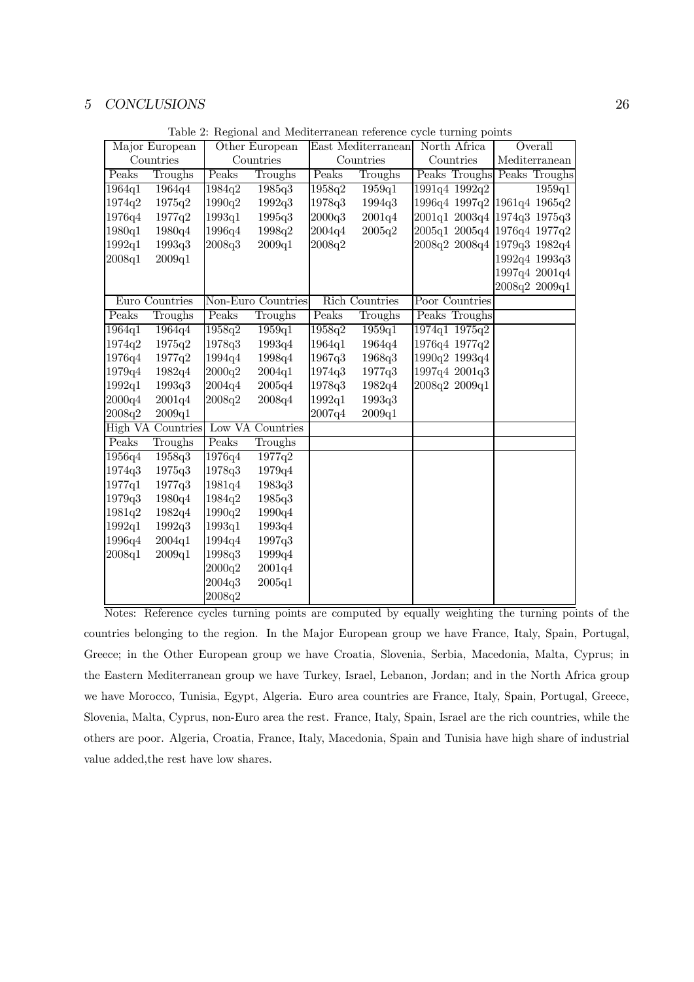| Major European |                   | Other European       |                    |        | East Mediterranean    | North Africa                         | Overall |                       |  |
|----------------|-------------------|----------------------|--------------------|--------|-----------------------|--------------------------------------|---------|-----------------------|--|
|                | Countries         |                      | Countries          |        | Countries             | Countries                            |         | ${\bf Mediterranean}$ |  |
| Peaks          | Troughs           | Peaks                | Troughs            | Peaks  | Troughs               | Peaks Troughs Peaks Troughs          |         |                       |  |
| 1964q1         | 1964q4            | 1984q2               | 1985q3             | 1958q2 | 1959q1                | 1991q4 1992q2                        |         | 1959q1                |  |
| 1974q2         | 1975q2            | 1990q2               | 1992q3             | 1978q3 | 1994q3                | 1996q4 1997q2 1961q4 1965q2          |         |                       |  |
| 1976q4         | 1977q2            | $\vert 1993q1 \vert$ | 1995q3             | 2000q3 | 2001q4                | 2001q1 2003q4 1974q3 1975q3          |         |                       |  |
| 1980q1         | 1980q4            | 1996q4               | 1998q2             | 2004q4 | 2005q2                | $2005q1$ $2005q4$ $ 1976q4$ $1977q2$ |         |                       |  |
| 1992q1         | 1993q3            | 2008q3               | 2009q1             | 2008q2 |                       | 2008q2 2008q4 1979q3 1982q4          |         |                       |  |
| 2008q1         | 2009q1            |                      |                    |        |                       |                                      |         | 1992q4 1993q3         |  |
|                |                   |                      |                    |        |                       |                                      |         | 1997q4 2001q4         |  |
|                |                   |                      |                    |        |                       |                                      |         | 2008q2 2009q1         |  |
|                | Euro Countries    |                      | Non-Euro Countries |        | <b>Rich Countries</b> | Poor Countries                       |         |                       |  |
| Peaks          | Troughs           | Peaks                | Troughs            | Peaks  | Troughs               | Peaks Troughs                        |         |                       |  |
| 1964q1         | 1964q4            | 1958q2               | 1959q1             | 1958q2 | 1959q1                | 1974q1 1975q2                        |         |                       |  |
| 1974q2         | 1975q2            | 1978q3               | 1993q4             | 1964q1 | 1964q4                | 1976q4 1977q2                        |         |                       |  |
| 1976q4         | 1977q2            | 1994q4               | 1998q4             | 1967q3 | 1968q3                | 1990q2 1993q4                        |         |                       |  |
| 1979q4         | 1982q4            | 2000q2               | 2004q1             | 1974q3 | 1977q3                | 1997q4 2001q3                        |         |                       |  |
| 1992q1         | 1993q3            | 2004q4               | 2005q4             | 1978q3 | 1982q4                | 2008q2 2009q1                        |         |                       |  |
| 2000q4         | 2001q4            | 2008q2               | 2008q4             | 1992q1 | 1993q3                |                                      |         |                       |  |
| 2008q2         | 2009q1            |                      |                    | 2007q4 | 2009q1                |                                      |         |                       |  |
|                | High VA Countries |                      | Low VA Countries   |        |                       |                                      |         |                       |  |
| Peaks          | Troughs           | Peaks                | Troughs            |        |                       |                                      |         |                       |  |
| 1956q4         | 1958q3            | 1976q4               | 1977q2             |        |                       |                                      |         |                       |  |
| 1974q3         | 1975q3            | 1978q3               | 1979q4             |        |                       |                                      |         |                       |  |
| 1977q1         | 1977q3            | 1981q4               | 1983q3             |        |                       |                                      |         |                       |  |
| 1979q3         | 1980q4            | 1984q2               | 1985q3             |        |                       |                                      |         |                       |  |
| 1981q2         | 1982q4            | 1990q2               | 1990q4             |        |                       |                                      |         |                       |  |
| 1992q1         | 1992q3            | 1993q1               | 1993q4             |        |                       |                                      |         |                       |  |
| 1996q4         | 2004q1            | 1994q4               | 1997q3             |        |                       |                                      |         |                       |  |
| 2008q1         | 2009q1            | 1998q3               | 1999q4             |        |                       |                                      |         |                       |  |
|                |                   | 2000q2               | 2001q4             |        |                       |                                      |         |                       |  |
|                |                   | 2004q3               | 2005q1             |        |                       |                                      |         |                       |  |
|                |                   | 2008q2               |                    |        |                       |                                      |         |                       |  |

Table 2: Regional and Mediterranean reference cycle turning points

Notes: Reference cycles turning points are computed by equally weighting the turning points of the countries belonging to the region. In the Major European group we have France, Italy, Spain, Portugal, Greece; in the Other European group we have Croatia, Slovenia, Serbia, Macedonia, Malta, Cyprus; in the Eastern Mediterranean group we have Turkey, Israel, Lebanon, Jordan; and in the North Africa group we have Morocco, Tunisia, Egypt, Algeria. Euro area countries are France, Italy, Spain, Portugal, Greece, Slovenia, Malta, Cyprus, non-Euro area the rest. France, Italy, Spain, Israel are the rich countries, while the others are poor. Algeria, Croatia, France, Italy, Macedonia, Spain and Tunisia have high share of industrial value added,the rest have low shares.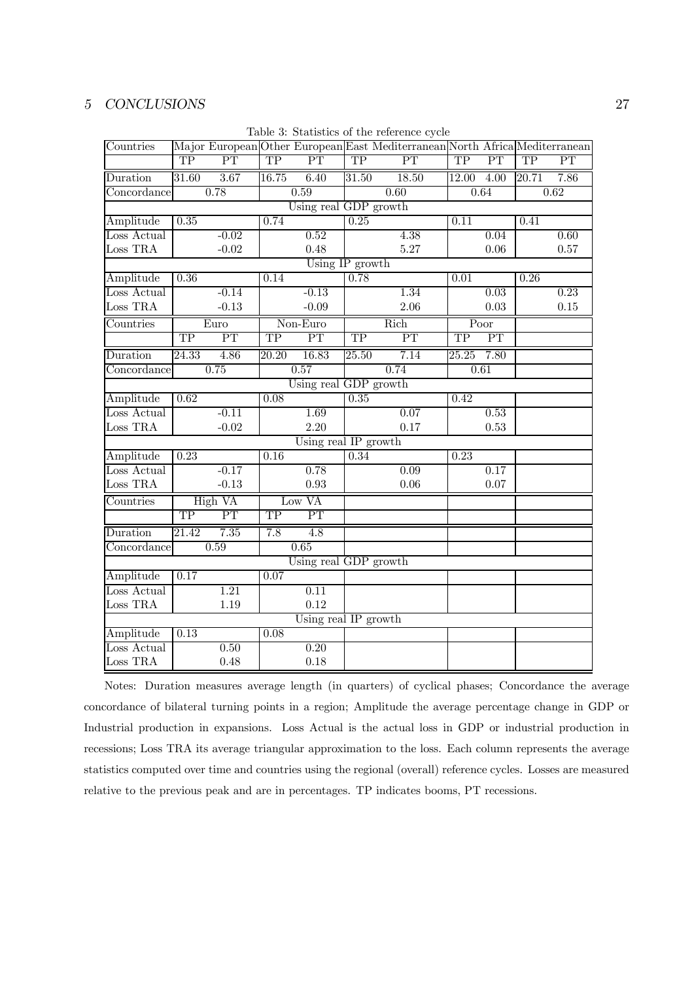| Countries   |                        |                        |                        |                        |                        | $\frac{1}{2}$<br>Major European Other European East Mediterranean North Africa Mediterranean |                    |                        |                        |                   |  |
|-------------|------------------------|------------------------|------------------------|------------------------|------------------------|----------------------------------------------------------------------------------------------|--------------------|------------------------|------------------------|-------------------|--|
|             | $\overline{\text{TP}}$ | $\overline{\text{PT}}$ | $\overline{\text{TP}}$ | $\overline{\text{PT}}$ | $\overline{TP}$        | $\overline{\text{PT}}$                                                                       | $\overline{TP}$    | $\overline{\text{PT}}$ | $\overline{\text{TP}}$ | PT                |  |
| Duration    | 31.60                  | 3.67                   | 16.75                  | 6.40                   | 31.50                  | 18.50                                                                                        | 12.00              | 4.00                   | $\sqrt{20.71}$         | 7.86              |  |
| Concordance |                        | 0.78                   |                        | 0.59                   |                        | 0.60                                                                                         |                    | 0.64                   |                        | 0.62              |  |
|             |                        |                        |                        | Using real GDP growth  |                        |                                                                                              |                    |                        |                        |                   |  |
| Amplitude   | 0.35                   |                        | 0.74                   |                        | 0.25                   |                                                                                              | 0.11               |                        | 0.41                   |                   |  |
| Loss Actual |                        | $-0.02$                |                        | 0.52                   |                        | 4.38                                                                                         |                    | 0.04                   |                        | $\overline{0.60}$ |  |
| Loss TRA    |                        | $-0.02$                |                        | 0.48                   |                        | 5.27                                                                                         |                    | 0.06                   |                        | 0.57              |  |
|             | Using IP growth        |                        |                        |                        |                        |                                                                                              |                    |                        |                        |                   |  |
| Amplitude   | 0.36                   |                        | 0.14                   |                        | 0.78                   |                                                                                              | 0.01               |                        | 0.26                   |                   |  |
| Loss Actual |                        | $-0.14$                |                        | $-0.13$                |                        | 1.34                                                                                         |                    | 0.03                   |                        | 0.23              |  |
| Loss TRA    |                        | $-0.13$                |                        | $-0.09$                |                        | 2.06                                                                                         |                    | 0.03                   |                        | 0.15              |  |
| Countries   |                        | Euro                   |                        | Non-Euro               |                        | Rich                                                                                         |                    | Poor                   |                        |                   |  |
|             | $\overline{\text{TP}}$ | $\overline{\text{PT}}$ | $\overline{\text{TP}}$ | $\overline{\text{PT}}$ | $\overline{\text{TP}}$ | $\overline{\text{PT}}$                                                                       | TP                 | PT                     |                        |                   |  |
| Duration    | 24.33                  | 4.86                   | $\overline{20.20}$     | 16.83                  | 25.50                  | 7.14                                                                                         | $\overline{25.25}$ | 7.80                   |                        |                   |  |
| Concordance |                        | 0.75                   |                        | 0.57                   |                        | 0.74                                                                                         |                    | 0.61                   |                        |                   |  |
|             |                        |                        |                        | Using real GDP growth  |                        |                                                                                              |                    |                        |                        |                   |  |
| Amplitude   | 0.62                   |                        | 0.08                   |                        | 0.35                   |                                                                                              | 0.42               |                        |                        |                   |  |
| Loss Actual |                        | $-0.11$                |                        | 1.69                   |                        | 0.07                                                                                         |                    | 0.53                   |                        |                   |  |
| Loss TRA    |                        | $-0.02$                |                        | 2.20                   |                        | 0.17                                                                                         |                    | 0.53                   |                        |                   |  |
|             |                        |                        |                        | Using real IP growth   |                        |                                                                                              |                    |                        |                        |                   |  |
| Amplitude   | 0.23                   |                        | 0.16                   |                        | 0.34                   |                                                                                              | 0.23               |                        |                        |                   |  |
| Loss Actual |                        | $-0.17$                |                        | 0.78                   |                        | 0.09                                                                                         |                    | 0.17                   |                        |                   |  |
| Loss TRA    |                        | $-0.13$                |                        | 0.93                   |                        | 0.06                                                                                         |                    | 0.07                   |                        |                   |  |
| Countries   |                        | High VA                |                        | Low VA                 |                        |                                                                                              |                    |                        |                        |                   |  |
|             | <b>TP</b>              | $\overline{\text{PT}}$ | $\overline{TP}$        | PT                     |                        |                                                                                              |                    |                        |                        |                   |  |
| Duration    | $\overline{21.42}$     | 7.35                   | 7.8                    | $\overline{4.8}$       |                        |                                                                                              |                    |                        |                        |                   |  |
| Concordance |                        | 0.59                   |                        | 0.65                   |                        |                                                                                              |                    |                        |                        |                   |  |
|             |                        |                        |                        | Using real GDP growth  |                        |                                                                                              |                    |                        |                        |                   |  |
| Amplitude   | 0.17                   |                        | 0.07                   |                        |                        |                                                                                              |                    |                        |                        |                   |  |
| Loss Actual |                        | 1.21                   |                        | 0.11                   |                        |                                                                                              |                    |                        |                        |                   |  |
| Loss TRA    |                        | 1.19                   |                        | 0.12                   |                        |                                                                                              |                    |                        |                        |                   |  |
|             |                        |                        |                        | Using real IP growth   |                        |                                                                                              |                    |                        |                        |                   |  |
| Amplitude   | 0.13                   |                        | 0.08                   |                        |                        |                                                                                              |                    |                        |                        |                   |  |
| Loss Actual |                        | 0.50                   |                        | 0.20                   |                        |                                                                                              |                    |                        |                        |                   |  |
| Loss TRA    |                        | 0.48                   |                        | 0.18                   |                        |                                                                                              |                    |                        |                        |                   |  |

Table 3: Statistics of the reference cycle

Notes: Duration measures average length (in quarters) of cyclical phases; Concordance the average concordance of bilateral turning points in a region; Amplitude the average percentage change in GDP or Industrial production in expansions. Loss Actual is the actual loss in GDP or industrial production in recessions; Loss TRA its average triangular approximation to the loss. Each column represents the average statistics computed over time and countries using the regional (overall) reference cycles. Losses are measured relative to the previous peak and are in percentages. TP indicates booms, PT recessions.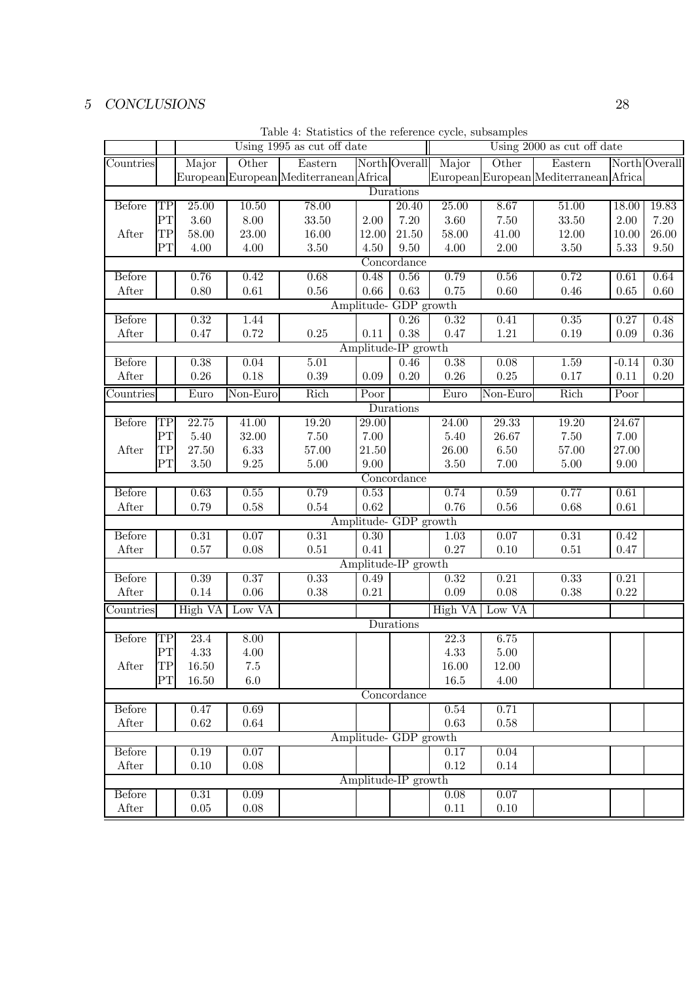|               |                        |                    |                   | Using 1995 as cut off date             |                    |                       | Using 2000 as cut off date |           |                                        |                       |               |  |
|---------------|------------------------|--------------------|-------------------|----------------------------------------|--------------------|-----------------------|----------------------------|-----------|----------------------------------------|-----------------------|---------------|--|
| Countries     |                        | Major              | Other             | Eastern                                |                    | North Overall         | Major                      | Other     | Eastern                                |                       | North Overall |  |
|               |                        |                    |                   | European European Mediterranean Africa |                    |                       |                            |           | European European Mediterranean Africa |                       |               |  |
|               |                        |                    |                   |                                        |                    | Durations             |                            |           |                                        |                       |               |  |
| <b>Before</b> | $\overline{\text{TP}}$ | $\overline{25.00}$ | 10.50             | 78.00                                  |                    | 20.40                 | 25.00                      | 8.67      | 51.00                                  | 18.00                 | 19.83         |  |
|               | PT                     | 3.60               | 8.00              | 33.50                                  | 2.00               | 7.20                  | 3.60                       | 7.50      | 33.50                                  | $2.00\,$              | 7.20          |  |
| After         | TP                     | 58.00              | 23.00             | 16.00                                  | 12.00              | 21.50                 | 58.00                      | 41.00     | 12.00                                  | 10.00                 | 26.00         |  |
|               | $\overline{\text{PT}}$ | 4.00               | 4.00              | 3.50                                   | 4.50               | 9.50                  | 4.00                       | 2.00      | 3.50                                   | 5.33                  | 9.50          |  |
| Concordance   |                        |                    |                   |                                        |                    |                       |                            |           |                                        |                       |               |  |
| <b>Before</b> |                        | 0.76               | $\overline{0.42}$ | 0.68                                   | 0.48               | $0.56\,$              | 0.79                       | 0.56      | 0.72                                   | 0.61                  | 0.64          |  |
| After         |                        | 0.80               | $0.61\,$          | $0.56\,$                               | 0.66               | 0.63                  | 0.75                       | 0.60      | 0.46                                   | 0.65                  | 0.60          |  |
|               |                        |                    |                   |                                        |                    | Amplitude- GDP growth |                            |           |                                        |                       |               |  |
| <b>Before</b> |                        | 0.32               | 1.44              |                                        |                    | 0.26                  | 0.32                       | 0.41      | 0.35                                   | 0.27                  | 0.48          |  |
| After         |                        | 0.47               | 0.72              | $0.25\,$                               | 0.11               | 0.38                  | 0.47                       | 1.21      | 0.19                                   | 0.09                  | $0.36\,$      |  |
|               |                        |                    |                   |                                        |                    | Amplitude-IP growth   |                            |           |                                        |                       |               |  |
| <b>Before</b> |                        | 0.38               | 0.04              | 5.01                                   |                    | 0.46                  | 0.38                       | 0.08      | 1.59                                   | $-0.14$               | 0.30          |  |
| After         |                        | $0.26\,$           | $0.18\,$          | 0.39                                   | 0.09               | 0.20                  | $0.26\,$                   | 0.25      | 0.17                                   | 0.11                  | 0.20          |  |
| Countries     |                        | Euro               | Non-Euro          | Rich                                   | Poor               |                       | Euro                       | Non-Euro  | Rich                                   | $\overline{P}_{0}$ or |               |  |
|               |                        |                    |                   |                                        |                    | Durations             |                            |           |                                        |                       |               |  |
| <b>Before</b> | $\overline{\text{TP}}$ | 22.75              | 41.00             | 19.20                                  | $\overline{29.00}$ |                       | 24.00                      | 29.33     | 19.20                                  | 24.67                 |               |  |
|               | PT                     | 5.40               | 32.00             | 7.50                                   | 7.00               |                       | 5.40                       | 26.67     | 7.50                                   | 7.00                  |               |  |
| After         | TP                     | 27.50              | 6.33              | 57.00                                  | 21.50              |                       | 26.00                      | 6.50      | 57.00                                  | 27.00                 |               |  |
|               | $\overline{\text{PT}}$ | $3.50\,$           | $\ \, 9.25$       | $5.00\,$                               | 9.00               |                       | 3.50                       | 7.00      | $5.00\,$                               | 9.00                  |               |  |
|               |                        |                    |                   |                                        |                    | Concordance           |                            |           |                                        |                       |               |  |
| <b>Before</b> |                        | 0.63               | 0.55              | 0.79                                   | 0.53               |                       | 0.74                       | 0.59      | 0.77                                   | 0.61                  |               |  |
| After         |                        | 0.79               | 0.58              | 0.54                                   | $\rm 0.62$         |                       | 0.76                       | $0.56\,$  | 0.68                                   | 0.61                  |               |  |
|               |                        |                    |                   |                                        |                    | Amplitude- GDP growth |                            |           |                                        |                       |               |  |
| <b>Before</b> |                        | 0.31               | 0.07              | 0.31                                   | 0.30               |                       | 1.03                       | 0.07      | 0.31                                   | 0.42                  |               |  |
| After         |                        | 0.57               | 0.08              | $0.51\,$                               | 0.41               |                       | 0.27                       | 0.10      | $0.51\,$                               | 0.47                  |               |  |
|               |                        |                    |                   |                                        |                    | Amplitude-IP growth   |                            |           |                                        |                       |               |  |
| <b>Before</b> |                        | 0.39               | 0.37              | 0.33                                   | 0.49               |                       | 0.32                       | 0.21      | 0.33                                   | 0.21                  |               |  |
| After         |                        | 0.14               | 0.06              | 0.38                                   | 0.21               |                       | 0.09                       | 0.08      | 0.38                                   | 0.22                  |               |  |
| Countries     |                        | High VA            | Low VA            |                                        |                    |                       | High VA                    | Low VA    |                                        |                       |               |  |
|               |                        |                    |                   |                                        |                    | Durations             |                            |           |                                        |                       |               |  |
| <b>Before</b> | $\overline{\text{TP}}$ | 23.4               | 8.00              |                                        |                    |                       | $\overline{22.3}$          | 6.75      |                                        |                       |               |  |
|               | PT                     | 4.33               | 4.00              |                                        |                    |                       | 4.33                       | $5.00\,$  |                                        |                       |               |  |
| After         | TP                     | 16.50              | $7.5\,$           |                                        |                    |                       | $16.00\,$                  | $12.00\,$ |                                        |                       |               |  |
|               | PT                     | 16.50              | $6.0\,$           |                                        |                    |                       | $16.5\,$                   | 4.00      |                                        |                       |               |  |
|               |                        |                    |                   |                                        |                    | Concordance           |                            |           |                                        |                       |               |  |
| <b>Before</b> |                        | 0.47               | 0.69              |                                        |                    |                       | $0.54\,$                   | 0.71      |                                        |                       |               |  |
| After         |                        | 0.62               | $\,0.64\,$        |                                        |                    |                       | 0.63                       | 0.58      |                                        |                       |               |  |
|               |                        |                    |                   |                                        |                    | Amplitude- GDP growth |                            |           |                                        |                       |               |  |
| <b>Before</b> |                        | 0.19               | 0.07              |                                        |                    |                       | 0.17                       | 0.04      |                                        |                       |               |  |
| After         |                        | 0.10               | 0.08              |                                        |                    |                       | 0.12                       | 0.14      |                                        |                       |               |  |
|               |                        |                    |                   |                                        |                    | Amplitude-IP growth   |                            |           |                                        |                       |               |  |
| <b>Before</b> |                        | 0.31               | 0.09              |                                        |                    |                       | 0.08                       | 0.07      |                                        |                       |               |  |
| After         |                        | $0.05\,$           | $0.08\,$          |                                        |                    |                       | $0.11\,$                   | 0.10      |                                        |                       |               |  |

Table 4: Statistics of the reference cycle, subsamples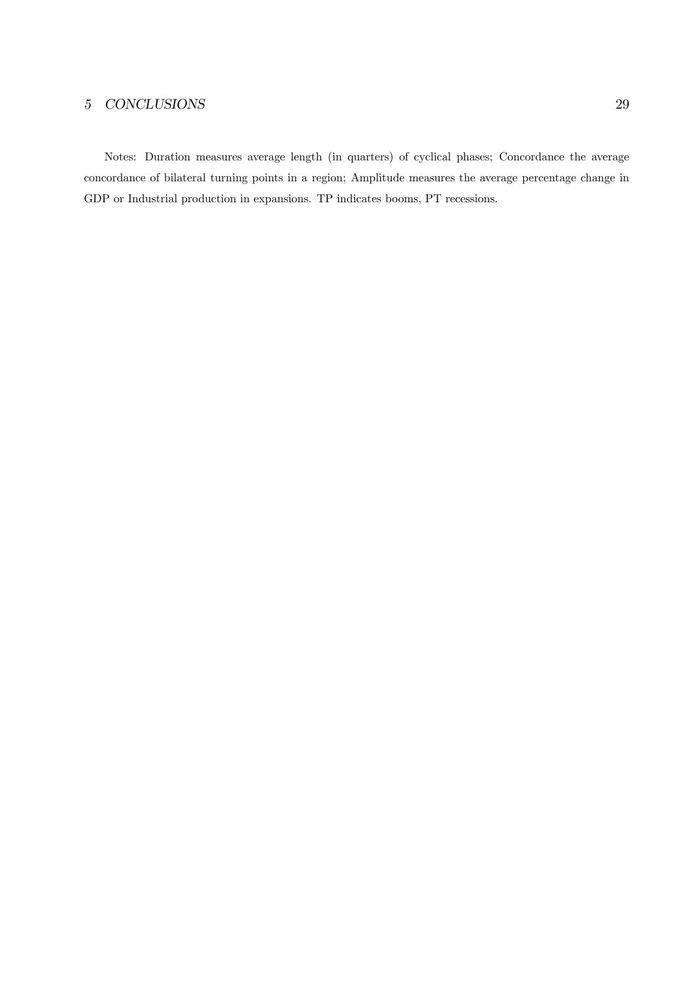Notes: Duration measures average length (in quarters) of cyclical phases; Concordance the average concordance of bilateral turning points in a region; Amplitude measures the average percentage change in GDP or Industrial production in expansions. TP indicates booms, PT recessions.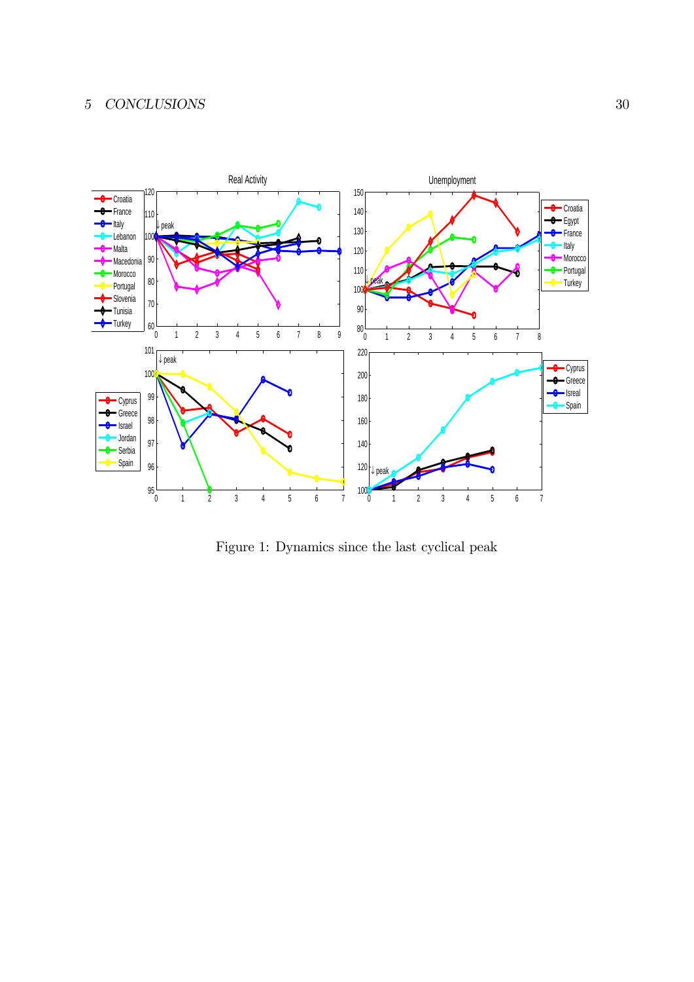

Figure 1: Dynamics since the last cyclical peak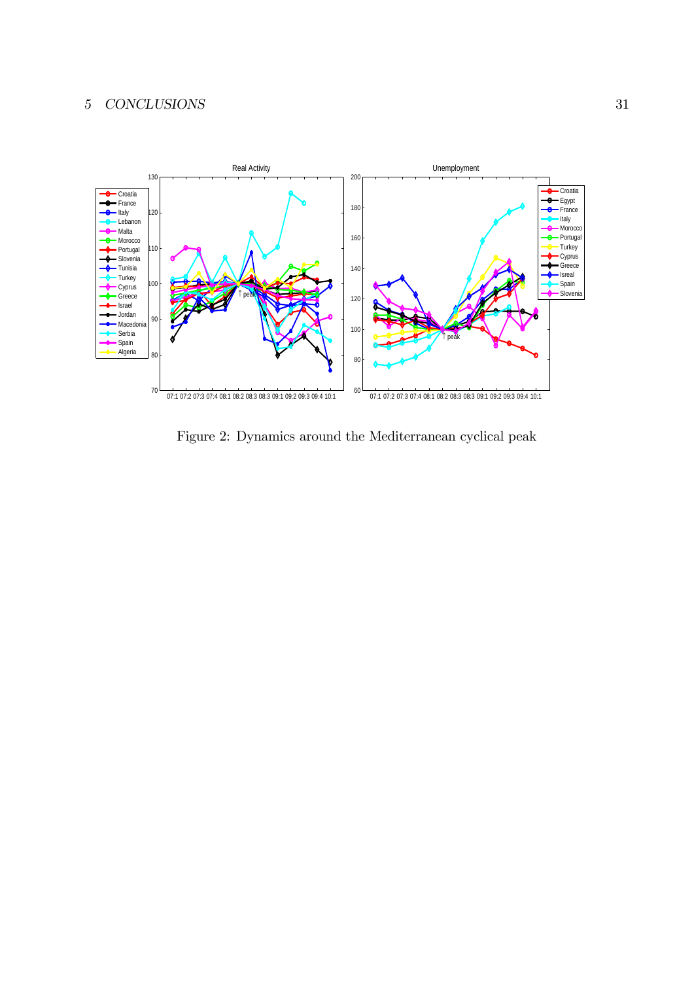

Figure 2: Dynamics around the Mediterranean cyclical peak